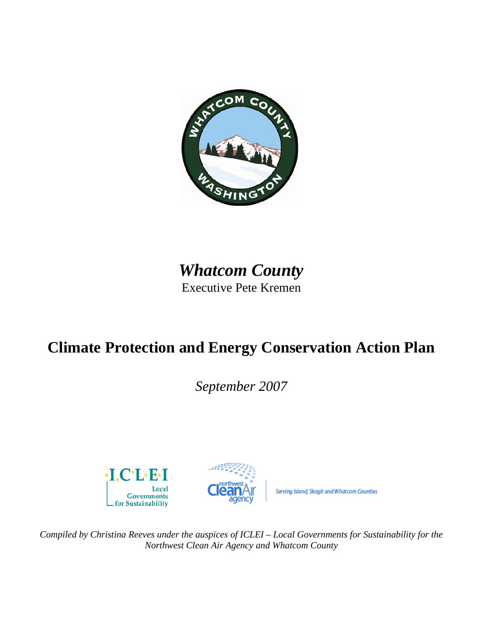

# *Whatcom County* Executive Pete Kremen

# **Climate Protection and Energy Conservation Action Plan**

*September 2007* 





Serving Island, Skagit and Whatcom Counties

*Compiled by Christina Reeves under the auspices of ICLEI – Local Governments for Sustainability for the Northwest Clean Air Agency and Whatcom County*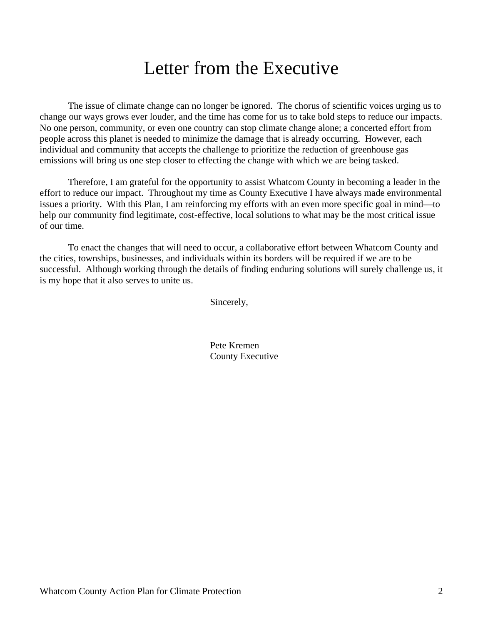# Letter from the Executive

The issue of climate change can no longer be ignored. The chorus of scientific voices urging us to change our ways grows ever louder, and the time has come for us to take bold steps to reduce our impacts. No one person, community, or even one country can stop climate change alone; a concerted effort from people across this planet is needed to minimize the damage that is already occurring. However, each individual and community that accepts the challenge to prioritize the reduction of greenhouse gas emissions will bring us one step closer to effecting the change with which we are being tasked.

Therefore, I am grateful for the opportunity to assist Whatcom County in becoming a leader in the effort to reduce our impact. Throughout my time as County Executive I have always made environmental issues a priority. With this Plan, I am reinforcing my efforts with an even more specific goal in mind—to help our community find legitimate, cost-effective, local solutions to what may be the most critical issue of our time.

To enact the changes that will need to occur, a collaborative effort between Whatcom County and the cities, townships, businesses, and individuals within its borders will be required if we are to be successful. Although working through the details of finding enduring solutions will surely challenge us, it is my hope that it also serves to unite us.

Sincerely,

 Pete Kremen County Executive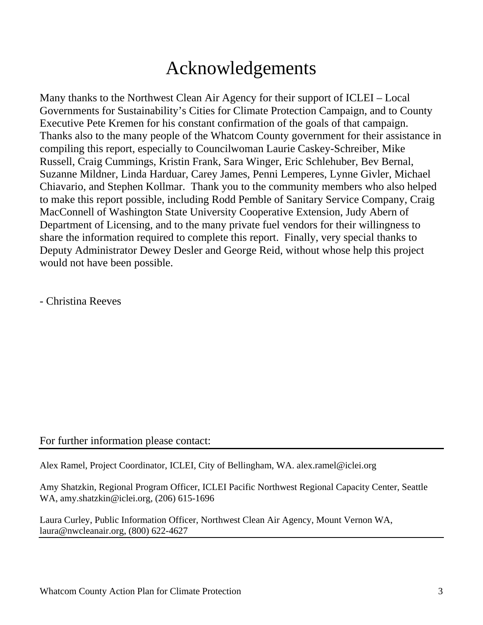# Acknowledgements

Many thanks to the Northwest Clean Air Agency for their support of ICLEI – Local Governments for Sustainability's Cities for Climate Protection Campaign, and to County Executive Pete Kremen for his constant confirmation of the goals of that campaign. Thanks also to the many people of the Whatcom County government for their assistance in compiling this report, especially to Councilwoman Laurie Caskey-Schreiber, Mike Russell, Craig Cummings, Kristin Frank, Sara Winger, Eric Schlehuber, Bev Bernal, Suzanne Mildner, Linda Harduar, Carey James, Penni Lemperes, Lynne Givler, Michael Chiavario, and Stephen Kollmar. Thank you to the community members who also helped to make this report possible, including Rodd Pemble of Sanitary Service Company, Craig MacConnell of Washington State University Cooperative Extension, Judy Abern of Department of Licensing, and to the many private fuel vendors for their willingness to share the information required to complete this report. Finally, very special thanks to Deputy Administrator Dewey Desler and George Reid, without whose help this project would not have been possible.

- Christina Reeves

### For further information please contact:

Alex Ramel, Project Coordinator, ICLEI, City of Bellingham, WA. alex.ramel@iclei.org

Amy Shatzkin, Regional Program Officer, ICLEI Pacific Northwest Regional Capacity Center, Seattle WA, amy.shatzkin@iclei.org, (206) 615-1696

Laura Curley, Public Information Officer, Northwest Clean Air Agency, Mount Vernon WA, laura@nwcleanair.org, (800) 622-4627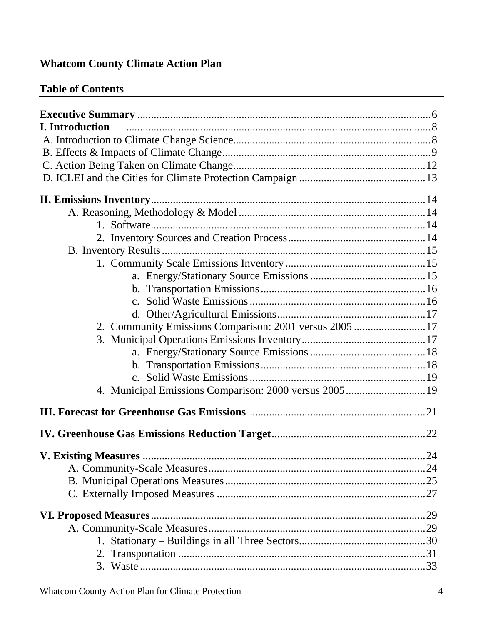## **Whatcom County Climate Action Plan**

## **Table of Contents**

| <b>I.</b> Introduction                                 |  |
|--------------------------------------------------------|--|
|                                                        |  |
|                                                        |  |
|                                                        |  |
|                                                        |  |
|                                                        |  |
|                                                        |  |
|                                                        |  |
|                                                        |  |
|                                                        |  |
|                                                        |  |
|                                                        |  |
|                                                        |  |
|                                                        |  |
|                                                        |  |
| 2. Community Emissions Comparison: 2001 versus 2005 17 |  |
|                                                        |  |
|                                                        |  |
|                                                        |  |
|                                                        |  |
| 4. Municipal Emissions Comparison: 2000 versus 200519  |  |
|                                                        |  |
|                                                        |  |
|                                                        |  |
|                                                        |  |
|                                                        |  |
|                                                        |  |
|                                                        |  |
|                                                        |  |
|                                                        |  |
|                                                        |  |
|                                                        |  |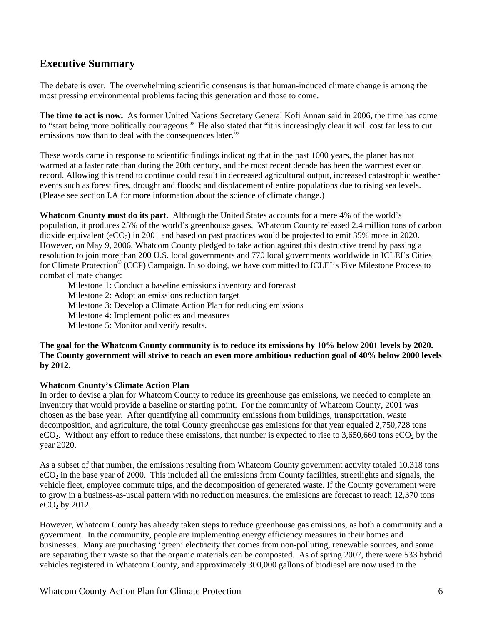### **Executive Summary**

The debate is over. The overwhelming scientific consensus is that human-induced climate change is among the most pressing environmental problems facing this generation and those to come.

**The time to act is now.** As former United Nations Secretary General Kofi Annan said in 2006, the time has come to "start being more politically courageous." He also stated that "it is increasingly clear it will cost far less to cut emissions now than to deal with the consequences later.<sup>i</sup>"

These words came in response to scientific findings indicating that in the past 1000 years, the planet has not warmed at a faster rate than during the 20th century, and the most recent decade has been the warmest ever on record. Allowing this trend to continue could result in decreased agricultural output, increased catastrophic weather events such as forest fires, drought and floods; and displacement of entire populations due to rising sea levels. (Please see section I.A for more information about the science of climate change.)

**Whatcom County must do its part.** Although the United States accounts for a mere 4% of the world's population, it produces 25% of the world's greenhouse gases. Whatcom County released 2.4 million tons of carbon dioxide equivalent (eCO<sub>2</sub>) in 2001 and based on past practices would be projected to emit 35% more in 2020. However, on May 9, 2006, Whatcom County pledged to take action against this destructive trend by passing a resolution to join more than 200 U.S. local governments and 770 local governments worldwide in ICLEI's Cities for Climate Protection® (CCP) Campaign. In so doing, we have committed to ICLEI's Five Milestone Process to combat climate change:

Milestone 1: Conduct a baseline emissions inventory and forecast Milestone 2: Adopt an emissions reduction target Milestone 3: Develop a Climate Action Plan for reducing emissions Milestone 4: Implement policies and measures Milestone 5: Monitor and verify results.

#### **The goal for the Whatcom County community is to reduce its emissions by 10% below 2001 levels by 2020. The County government will strive to reach an even more ambitious reduction goal of 40% below 2000 levels by 2012.**

#### **Whatcom County's Climate Action Plan**

In order to devise a plan for Whatcom County to reduce its greenhouse gas emissions, we needed to complete an inventory that would provide a baseline or starting point. For the community of Whatcom County, 2001 was chosen as the base year. After quantifying all community emissions from buildings, transportation, waste decomposition, and agriculture, the total County greenhouse gas emissions for that year equaled 2,750,728 tons  $eCO<sub>2</sub>$ . Without any effort to reduce these emissions, that number is expected to rise to 3,650,660 tons  $eCO<sub>2</sub>$  by the year 2020.

As a subset of that number, the emissions resulting from Whatcom County government activity totaled 10,318 tons  $eCO<sub>2</sub>$  in the base year of 2000. This included all the emissions from County facilities, streetlights and signals, the vehicle fleet, employee commute trips, and the decomposition of generated waste. If the County government were to grow in a business-as-usual pattern with no reduction measures, the emissions are forecast to reach 12,370 tons  $eCO<sub>2</sub>$  by 2012.

However, Whatcom County has already taken steps to reduce greenhouse gas emissions, as both a community and a government. In the community, people are implementing energy efficiency measures in their homes and businesses. Many are purchasing 'green' electricity that comes from non-polluting, renewable sources, and some are separating their waste so that the organic materials can be composted. As of spring 2007, there were 533 hybrid vehicles registered in Whatcom County, and approximately 300,000 gallons of biodiesel are now used in the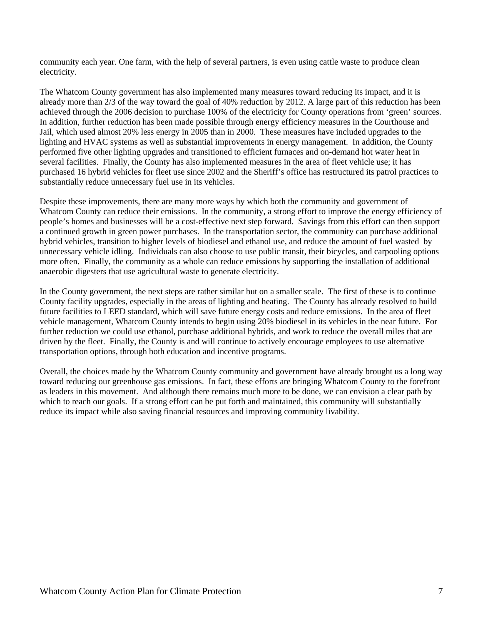community each year. One farm, with the help of several partners, is even using cattle waste to produce clean electricity.

The Whatcom County government has also implemented many measures toward reducing its impact, and it is already more than 2/3 of the way toward the goal of 40% reduction by 2012. A large part of this reduction has been achieved through the 2006 decision to purchase 100% of the electricity for County operations from 'green' sources. In addition, further reduction has been made possible through energy efficiency measures in the Courthouse and Jail, which used almost 20% less energy in 2005 than in 2000. These measures have included upgrades to the lighting and HVAC systems as well as substantial improvements in energy management. In addition, the County performed five other lighting upgrades and transitioned to efficient furnaces and on-demand hot water heat in several facilities. Finally, the County has also implemented measures in the area of fleet vehicle use; it has purchased 16 hybrid vehicles for fleet use since 2002 and the Sheriff's office has restructured its patrol practices to substantially reduce unnecessary fuel use in its vehicles.

Despite these improvements, there are many more ways by which both the community and government of Whatcom County can reduce their emissions. In the community, a strong effort to improve the energy efficiency of people's homes and businesses will be a cost-effective next step forward. Savings from this effort can then support a continued growth in green power purchases. In the transportation sector, the community can purchase additional hybrid vehicles, transition to higher levels of biodiesel and ethanol use, and reduce the amount of fuel wasted by unnecessary vehicle idling. Individuals can also choose to use public transit, their bicycles, and carpooling options more often. Finally, the community as a whole can reduce emissions by supporting the installation of additional anaerobic digesters that use agricultural waste to generate electricity.

In the County government, the next steps are rather similar but on a smaller scale. The first of these is to continue County facility upgrades, especially in the areas of lighting and heating. The County has already resolved to build future facilities to LEED standard, which will save future energy costs and reduce emissions. In the area of fleet vehicle management, Whatcom County intends to begin using 20% biodiesel in its vehicles in the near future. For further reduction we could use ethanol, purchase additional hybrids, and work to reduce the overall miles that are driven by the fleet. Finally, the County is and will continue to actively encourage employees to use alternative transportation options, through both education and incentive programs.

Overall, the choices made by the Whatcom County community and government have already brought us a long way toward reducing our greenhouse gas emissions. In fact, these efforts are bringing Whatcom County to the forefront as leaders in this movement. And although there remains much more to be done, we can envision a clear path by which to reach our goals. If a strong effort can be put forth and maintained, this community will substantially reduce its impact while also saving financial resources and improving community livability.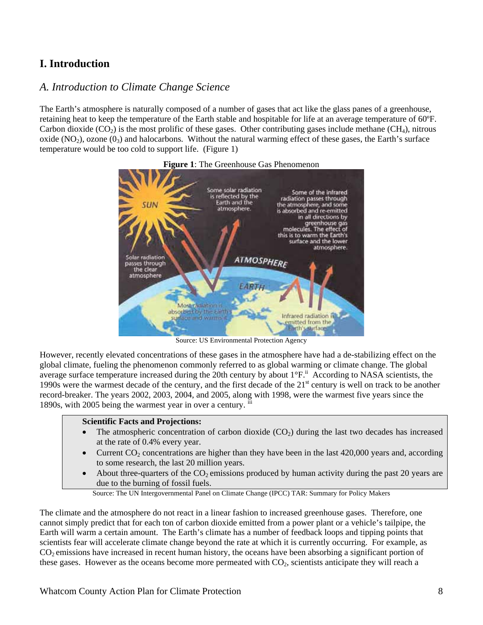## **I. Introduction**

### *A. Introduction to Climate Change Science*

The Earth's atmosphere is naturally composed of a number of gases that act like the glass panes of a greenhouse, retaining heat to keep the temperature of the Earth stable and hospitable for life at an average temperature of 60ºF. Carbon dioxide  $(CO<sub>2</sub>)$  is the most prolific of these gases. Other contributing gases include methane  $(CH<sub>4</sub>)$ , nitrous oxide  $(NO<sub>2</sub>)$ , ozone  $(0<sub>3</sub>)$  and halocarbons. Without the natural warming effect of these gases, the Earth's surface temperature would be too cold to support life. (Figure 1)



**Figure 1**: The Greenhouse Gas Phenomenon

Source: US Environmental Protection Agency

However, recently elevated concentrations of these gases in the atmosphere have had a de-stabilizing effect on the global climate, fueling the phenomenon commonly referred to as global warming or climate change. The global average surface temperature increased during the 20th century by about 1°F.<sup>ii</sup> According to NASA scientists, the 1990s were the warmest decade of the century, and the first decade of the  $21<sup>st</sup>$  century is well on track to be another record-breaker. The years 2002, 2003, 2004, and 2005, along with 1998, were the warmest five years since the 1890s, with 2005 being the warmest year in over a century.

#### **Scientific Facts and Projections:**

- The atmospheric concentration of carbon dioxide  $(CO<sub>2</sub>)$  during the last two decades has increased at the rate of 0.4% every year.
- Current  $CO<sub>2</sub>$  concentrations are higher than they have been in the last 420,000 years and, according to some research, the last 20 million years.
- About three-quarters of the  $CO_2$  emissions produced by human activity during the past 20 years are due to the burning of fossil fuels.

Source: The UN Intergovernmental Panel on Climate Change (IPCC) TAR: Summary for Policy Makers

The climate and the atmosphere do not react in a linear fashion to increased greenhouse gases. Therefore, one cannot simply predict that for each ton of carbon dioxide emitted from a power plant or a vehicle's tailpipe, the Earth will warm a certain amount. The Earth's climate has a number of feedback loops and tipping points that scientists fear will accelerate climate change beyond the rate at which it is currently occurring. For example, as CO2 emissions have increased in recent human history, the oceans have been absorbing a significant portion of these gases. However as the oceans become more permeated with  $CO<sub>2</sub>$ , scientists anticipate they will reach a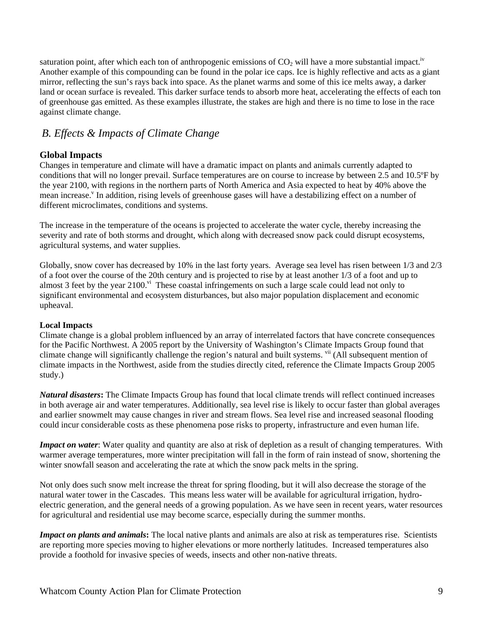saturation point, after which each ton of anthropogenic emissions of  $CO<sub>2</sub>$  will have a more substantial impact.<sup>iv</sup> Another example of this compounding can be found in the polar ice caps. Ice is highly reflective and acts as a giant mirror, reflecting the sun's rays back into space. As the planet warms and some of this ice melts away, a darker land or ocean surface is revealed. This darker surface tends to absorb more heat, accelerating the effects of each ton of greenhouse gas emitted. As these examples illustrate, the stakes are high and there is no time to lose in the race against climate change.

### *B. Effects & Impacts of Climate Change*

#### **Global Impacts**

Changes in temperature and climate will have a dramatic impact on plants and animals currently adapted to conditions that will no longer prevail. Surface temperatures are on course to increase by between 2.5 and 10.5ºF by the year 2100, with regions in the northern parts of North America and Asia expected to heat by 40% above the mean increase.<sup>v</sup> In addition, rising levels of greenhouse gases will have a destabilizing effect on a number of different microclimates, conditions and systems.

The increase in the temperature of the oceans is projected to accelerate the water cycle, thereby increasing the severity and rate of both storms and drought, which along with decreased snow pack could disrupt ecosystems, agricultural systems, and water supplies.

Globally, snow cover has decreased by 10% in the last forty years. Average sea level has risen between 1/3 and 2/3 of a foot over the course of the 20th century and is projected to rise by at least another 1/3 of a foot and up to almost 3 feet by the year 2100.<sup>vi</sup> These coastal infringements on such a large scale could lead not only to significant environmental and ecosystem disturbances, but also major population displacement and economic upheaval.

#### **Local Impacts**

Climate change is a global problem influenced by an array of interrelated factors that have concrete consequences for the Pacific Northwest. A 2005 report by the University of Washington's Climate Impacts Group found that climate change will significantly challenge the region's natural and built systems. vii (All subsequent mention of climate impacts in the Northwest, aside from the studies directly cited, reference the Climate Impacts Group 2005 study.)

*Natural disasters***:** The Climate Impacts Group has found that local climate trends will reflect continued increases in both average air and water temperatures. Additionally, sea level rise is likely to occur faster than global averages and earlier snowmelt may cause changes in river and stream flows. Sea level rise and increased seasonal flooding could incur considerable costs as these phenomena pose risks to property, infrastructure and even human life.

*Impact on water*: Water quality and quantity are also at risk of depletion as a result of changing temperatures. With warmer average temperatures, more winter precipitation will fall in the form of rain instead of snow, shortening the winter snowfall season and accelerating the rate at which the snow pack melts in the spring.

Not only does such snow melt increase the threat for spring flooding, but it will also decrease the storage of the natural water tower in the Cascades. This means less water will be available for agricultural irrigation, hydroelectric generation, and the general needs of a growing population. As we have seen in recent years, water resources for agricultural and residential use may become scarce, especially during the summer months.

*Impact on plants and animals***:** The local native plants and animals are also at risk as temperatures rise. Scientists are reporting more species moving to higher elevations or more northerly latitudes. Increased temperatures also provide a foothold for invasive species of weeds, insects and other non-native threats.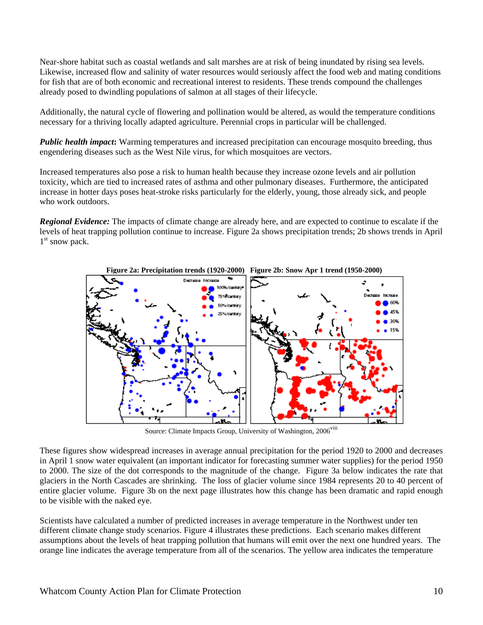Near-shore habitat such as coastal wetlands and salt marshes are at risk of being inundated by rising sea levels. Likewise, increased flow and salinity of water resources would seriously affect the food web and mating conditions for fish that are of both economic and recreational interest to residents. These trends compound the challenges already posed to dwindling populations of salmon at all stages of their lifecycle.

Additionally, the natural cycle of flowering and pollination would be altered, as would the temperature conditions necessary for a thriving locally adapted agriculture. Perennial crops in particular will be challenged.

*Public health impact*: Warming temperatures and increased precipitation can encourage mosquito breeding, thus engendering diseases such as the West Nile virus, for which mosquitoes are vectors.

Increased temperatures also pose a risk to human health because they increase ozone levels and air pollution toxicity, which are tied to increased rates of asthma and other pulmonary diseases. Furthermore, the anticipated increase in hotter days poses heat-stroke risks particularly for the elderly, young, those already sick, and people who work outdoors.

*Regional Evidence:* The impacts of climate change are already here, and are expected to continue to escalate if the levels of heat trapping pollution continue to increase. Figure 2a shows precipitation trends; 2b shows trends in April  $1<sup>st</sup>$  snow pack.



 **Figure 2a: Precipitation trends (1920-2000) Figure 2b: Snow Apr 1 trend (1950-2000)** 

Source: Climate Impacts Group, University of Washington,  $2006<sup>viii</sup>$ 

These figures show widespread increases in average annual precipitation for the period 1920 to 2000 and decreases in April 1 snow water equivalent (an important indicator for forecasting summer water supplies) for the period 1950 to 2000. The size of the dot corresponds to the magnitude of the change. Figure 3a below indicates the rate that glaciers in the North Cascades are shrinking. The loss of glacier volume since 1984 represents 20 to 40 percent of entire glacier volume. Figure 3b on the next page illustrates how this change has been dramatic and rapid enough to be visible with the naked eye.

Scientists have calculated a number of predicted increases in average temperature in the Northwest under ten different climate change study scenarios. Figure 4 illustrates these predictions. Each scenario makes different assumptions about the levels of heat trapping pollution that humans will emit over the next one hundred years. The orange line indicates the average temperature from all of the scenarios. The yellow area indicates the temperature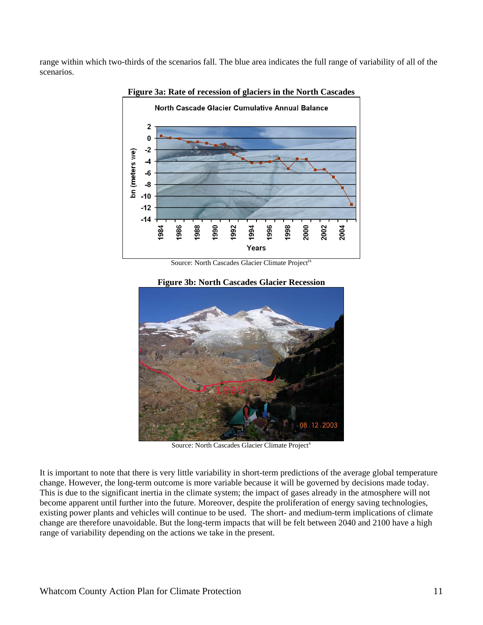range within which two-thirds of the scenarios fall. The blue area indicates the full range of variability of all of the scenarios.



#### **Figure 3a: Rate of recession of glaciers in the North Cascades**

Source: North Cascades Glacier Climate Projectix

#### **Figure 3b: North Cascades Glacier Recession**



Source: North Cascades Glacier Climate Project<sup>x</sup>

It is important to note that there is very little variability in short-term predictions of the average global temperature change. However, the long-term outcome is more variable because it will be governed by decisions made today. This is due to the significant inertia in the climate system; the impact of gases already in the atmosphere will not become apparent until further into the future. Moreover, despite the proliferation of energy saving technologies, existing power plants and vehicles will continue to be used. The short- and medium-term implications of climate change are therefore unavoidable. But the long-term impacts that will be felt between 2040 and 2100 have a high range of variability depending on the actions we take in the present.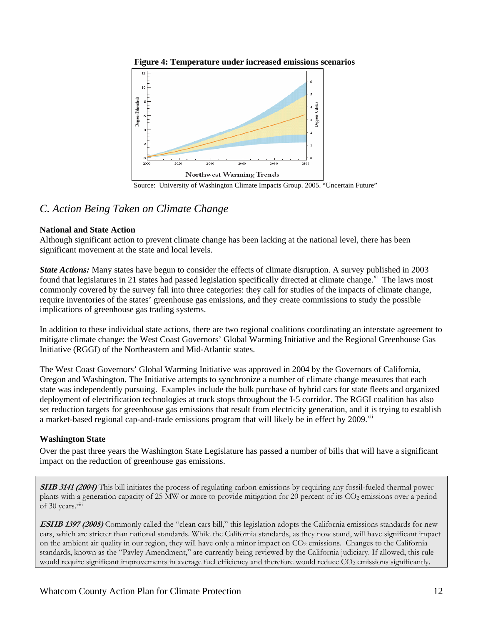

 **Figure 4: Temperature under increased emissions scenarios** 

Source: University of Washington Climate Impacts Group. 2005. "Uncertain Future"

### *C. Action Being Taken on Climate Change*

#### **National and State Action**

Although significant action to prevent climate change has been lacking at the national level, there has been significant movement at the state and local levels.

*State Actions:* Many states have begun to consider the effects of climate disruption. A survey published in 2003 found that legislatures in 21 states had passed legislation specifically directed at climate change.<sup>xi</sup> The laws most commonly covered by the survey fall into three categories: they call for studies of the impacts of climate change, require inventories of the states' greenhouse gas emissions, and they create commissions to study the possible implications of greenhouse gas trading systems.

In addition to these individual state actions, there are two regional coalitions coordinating an interstate agreement to mitigate climate change: the West Coast Governors' Global Warming Initiative and the Regional Greenhouse Gas Initiative (RGGI) of the Northeastern and Mid-Atlantic states.

The West Coast Governors' Global Warming Initiative was approved in 2004 by the Governors of California, Oregon and Washington. The Initiative attempts to synchronize a number of climate change measures that each state was independently pursuing. Examples include the bulk purchase of hybrid cars for state fleets and organized deployment of electrification technologies at truck stops throughout the I-5 corridor. The RGGI coalition has also set reduction targets for greenhouse gas emissions that result from electricity generation, and it is trying to establish a market-based regional cap-and-trade emissions program that will likely be in effect by 2009.<sup>xii</sup>

#### **Washington State**

Over the past three years the Washington State Legislature has passed a number of bills that will have a significant impact on the reduction of greenhouse gas emissions.

**SHB 3141 (2004)** This bill initiates the process of regulating carbon emissions by requiring any fossil-fueled thermal power plants with a generation capacity of 25 MW or more to provide mitigation for 20 percent of its CO<sub>2</sub> emissions over a period of 30 years.xiii

**ESHB 1397 (2005)** Commonly called the "clean cars bill," this legislation adopts the California emissions standards for new cars, which are stricter than national standards. While the California standards, as they now stand, will have significant impact on the ambient air quality in our region, they will have only a minor impact on CO<sub>2</sub> emissions. Changes to the California standards, known as the "Pavley Amendment," are currently being reviewed by the California judiciary. If allowed, this rule would require significant improvements in average fuel efficiency and therefore would reduce CO<sub>2</sub> emissions significantly.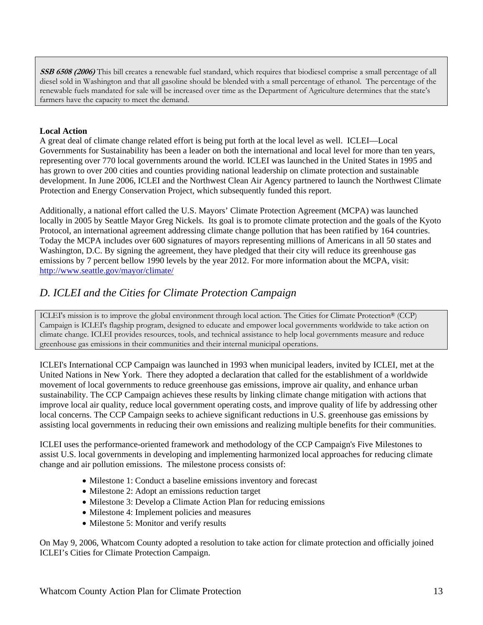**SSB 6508 (2006)** This bill creates a renewable fuel standard, which requires that biodiesel comprise a small percentage of all diesel sold in Washington and that all gasoline should be blended with a small percentage of ethanol. The percentage of the renewable fuels mandated for sale will be increased over time as the Department of Agriculture determines that the state's farmers have the capacity to meet the demand.

#### **Local Action**

A great deal of climate change related effort is being put forth at the local level as well. ICLEI—Local Governments for Sustainability has been a leader on both the international and local level for more than ten years, representing over 770 local governments around the world. ICLEI was launched in the United States in 1995 and has grown to over 200 cities and counties providing national leadership on climate protection and sustainable development. In June 2006, ICLEI and the Northwest Clean Air Agency partnered to launch the Northwest Climate Protection and Energy Conservation Project, which subsequently funded this report.

Additionally, a national effort called the U.S. Mayors' Climate Protection Agreement (MCPA) was launched locally in 2005 by Seattle Mayor Greg Nickels. Its goal is to promote climate protection and the goals of the Kyoto Protocol, an international agreement addressing climate change pollution that has been ratified by 164 countries. Today the MCPA includes over 600 signatures of mayors representing millions of Americans in all 50 states and Washington, D.C. By signing the agreement, they have pledged that their city will reduce its greenhouse gas emissions by 7 percent bellow 1990 levels by the year 2012. For more information about the MCPA, visit: http://www.seattle.gov/mayor/climate/

### *D. ICLEI and the Cities for Climate Protection Campaign*

ICLEI's mission is to improve the global environment through local action. The Cities for Climate Protection® (CCP) Campaign is ICLEI's flagship program, designed to educate and empower local governments worldwide to take action on climate change. ICLEI provides resources, tools, and technical assistance to help local governments measure and reduce greenhouse gas emissions in their communities and their internal municipal operations.

ICLEI's International CCP Campaign was launched in 1993 when municipal leaders, invited by ICLEI, met at the United Nations in New York. There they adopted a declaration that called for the establishment of a worldwide movement of local governments to reduce greenhouse gas emissions, improve air quality, and enhance urban sustainability. The CCP Campaign achieves these results by linking climate change mitigation with actions that improve local air quality, reduce local government operating costs, and improve quality of life by addressing other local concerns. The CCP Campaign seeks to achieve significant reductions in U.S. greenhouse gas emissions by assisting local governments in reducing their own emissions and realizing multiple benefits for their communities.

ICLEI uses the performance-oriented framework and methodology of the CCP Campaign's Five Milestones to assist U.S. local governments in developing and implementing harmonized local approaches for reducing climate change and air pollution emissions. The milestone process consists of:

- Milestone 1: Conduct a baseline emissions inventory and forecast
- Milestone 2: Adopt an emissions reduction target
- Milestone 3: Develop a Climate Action Plan for reducing emissions
- Milestone 4: Implement policies and measures
- Milestone 5: Monitor and verify results

On May 9, 2006, Whatcom County adopted a resolution to take action for climate protection and officially joined ICLEI's Cities for Climate Protection Campaign.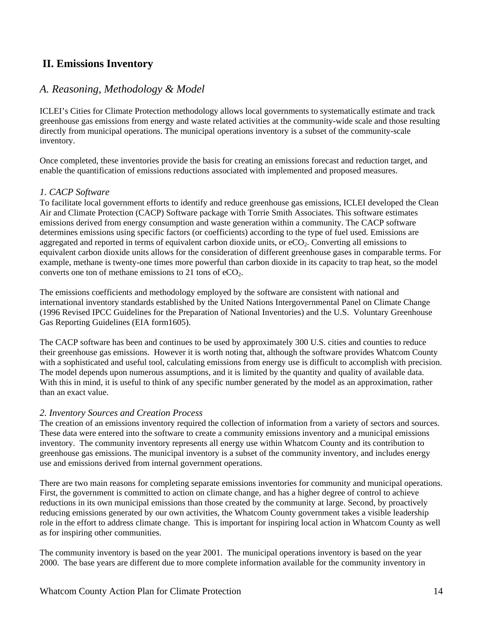### **II. Emissions Inventory**

### *A. Reasoning, Methodology & Model*

ICLEI's Cities for Climate Protection methodology allows local governments to systematically estimate and track greenhouse gas emissions from energy and waste related activities at the community-wide scale and those resulting directly from municipal operations. The municipal operations inventory is a subset of the community-scale inventory.

Once completed, these inventories provide the basis for creating an emissions forecast and reduction target, and enable the quantification of emissions reductions associated with implemented and proposed measures.

#### *1. CACP Software*

To facilitate local government efforts to identify and reduce greenhouse gas emissions, ICLEI developed the Clean Air and Climate Protection (CACP) Software package with Torrie Smith Associates. This software estimates emissions derived from energy consumption and waste generation within a community. The CACP software determines emissions using specific factors (or coefficients) according to the type of fuel used. Emissions are aggregated and reported in terms of equivalent carbon dioxide units, or  $eCO<sub>2</sub>$ . Converting all emissions to equivalent carbon dioxide units allows for the consideration of different greenhouse gases in comparable terms. For example, methane is twenty-one times more powerful than carbon dioxide in its capacity to trap heat, so the model converts one ton of methane emissions to 21 tons of  $eCO<sub>2</sub>$ .

The emissions coefficients and methodology employed by the software are consistent with national and international inventory standards established by the United Nations Intergovernmental Panel on Climate Change (1996 Revised IPCC Guidelines for the Preparation of National Inventories) and the U.S. Voluntary Greenhouse Gas Reporting Guidelines (EIA form1605).

The CACP software has been and continues to be used by approximately 300 U.S. cities and counties to reduce their greenhouse gas emissions. However it is worth noting that, although the software provides Whatcom County with a sophisticated and useful tool, calculating emissions from energy use is difficult to accomplish with precision. The model depends upon numerous assumptions, and it is limited by the quantity and quality of available data. With this in mind, it is useful to think of any specific number generated by the model as an approximation, rather than an exact value.

#### *2. Inventory Sources and Creation Process*

The creation of an emissions inventory required the collection of information from a variety of sectors and sources. These data were entered into the software to create a community emissions inventory and a municipal emissions inventory. The community inventory represents all energy use within Whatcom County and its contribution to greenhouse gas emissions. The municipal inventory is a subset of the community inventory, and includes energy use and emissions derived from internal government operations.

There are two main reasons for completing separate emissions inventories for community and municipal operations. First, the government is committed to action on climate change, and has a higher degree of control to achieve reductions in its own municipal emissions than those created by the community at large. Second, by proactively reducing emissions generated by our own activities, the Whatcom County government takes a visible leadership role in the effort to address climate change. This is important for inspiring local action in Whatcom County as well as for inspiring other communities.

The community inventory is based on the year 2001. The municipal operations inventory is based on the year 2000. The base years are different due to more complete information available for the community inventory in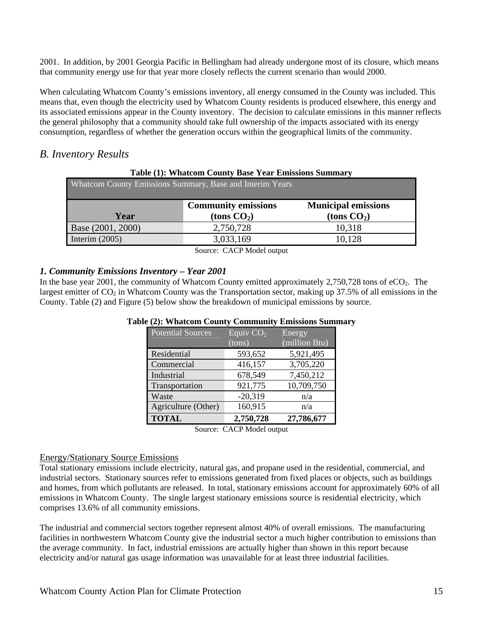2001. In addition, by 2001 Georgia Pacific in Bellingham had already undergone most of its closure, which means that community energy use for that year more closely reflects the current scenario than would 2000.

When calculating Whatcom County's emissions inventory, all energy consumed in the County was included. This means that, even though the electricity used by Whatcom County residents is produced elsewhere, this energy and its associated emissions appear in the County inventory. The decision to calculate emissions in this manner reflects the general philosophy that a community should take full ownership of the impacts associated with its energy consumption, regardless of whether the generation occurs within the geographical limits of the community.

### *B. Inventory Results*

|  |  |  | Table (1): Whatcom County Base Year Emissions Summary |
|--|--|--|-------------------------------------------------------|
|  |  |  |                                                       |

| Whatcom County Emissions Summary, Base and Interim Years |                                             |                                             |
|----------------------------------------------------------|---------------------------------------------|---------------------------------------------|
| Yon                                                      | <b>Community emissions</b><br>(tons $CO2$ ) | <b>Municipal emissions</b><br>(tons $CO2$ ) |
| Base (2001, 2000)                                        | 2,750,728                                   | 10,318                                      |
| Interim $(2005)$                                         | 3,033,169                                   | 10,128                                      |

Source: CACP Model output

#### *1. Community Emissions Inventory – Year 2001*

In the base year 2001, the community of Whatcom County emitted approximately  $2,750,728$  tons of eCO<sub>2</sub>. The largest emitter of  $CO<sub>2</sub>$  in Whatcom County was the Transportation sector, making up 37.5% of all emissions in the County. Table (2) and Figure (5) below show the breakdown of municipal emissions by source.

| Potential Sources   | Equiv $CO2$ | Energy        |
|---------------------|-------------|---------------|
|                     | (tons)      | (million Btu) |
| Residential         | 593,652     | 5,921,495     |
| Commercial          | 416,157     | 3,705,220     |
| Industrial          | 678,549     | 7,450,212     |
| Transportation      | 921,775     | 10,709,750    |
| Waste               | $-20,319$   | n/a           |
| Agriculture (Other) | 160,915     | n/a           |
| <b>TOTAL</b>        | 2,750,728   | 27,786,677    |

#### **Table (2): Whatcom County Community Emissions Summary**

Source: CACP Model output

#### Energy/Stationary Source Emissions

Total stationary emissions include electricity, natural gas, and propane used in the residential, commercial, and industrial sectors. Stationary sources refer to emissions generated from fixed places or objects, such as buildings and homes, from which pollutants are released. In total, stationary emissions account for approximately 60% of all emissions in Whatcom County. The single largest stationary emissions source is residential electricity, which comprises 13.6% of all community emissions.

The industrial and commercial sectors together represent almost 40% of overall emissions. The manufacturing facilities in northwestern Whatcom County give the industrial sector a much higher contribution to emissions than the average community. In fact, industrial emissions are actually higher than shown in this report because electricity and/or natural gas usage information was unavailable for at least three industrial facilities.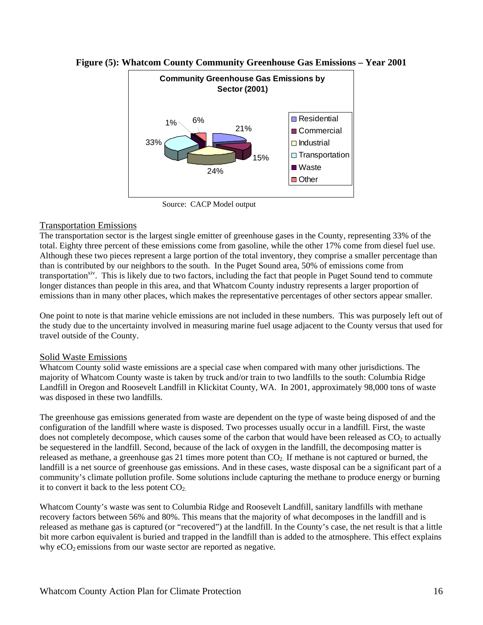

#### **Figure (5): Whatcom County Community Greenhouse Gas Emissions – Year 2001**

Source: CACP Model output

#### Transportation Emissions

The transportation sector is the largest single emitter of greenhouse gases in the County, representing 33% of the total. Eighty three percent of these emissions come from gasoline, while the other 17% come from diesel fuel use. Although these two pieces represent a large portion of the total inventory, they comprise a smaller percentage than than is contributed by our neighbors to the south. In the Puget Sound area, 50% of emissions come from transportation<sup>xiv</sup>. This is likely due to two factors, including the fact that people in Puget Sound tend to commute longer distances than people in this area, and that Whatcom County industry represents a larger proportion of emissions than in many other places, which makes the representative percentages of other sectors appear smaller.

One point to note is that marine vehicle emissions are not included in these numbers. This was purposely left out of the study due to the uncertainty involved in measuring marine fuel usage adjacent to the County versus that used for travel outside of the County.

#### Solid Waste Emissions

Whatcom County solid waste emissions are a special case when compared with many other jurisdictions. The majority of Whatcom County waste is taken by truck and/or train to two landfills to the south: Columbia Ridge Landfill in Oregon and Roosevelt Landfill in Klickitat County, WA. In 2001, approximately 98,000 tons of waste was disposed in these two landfills.

The greenhouse gas emissions generated from waste are dependent on the type of waste being disposed of and the configuration of the landfill where waste is disposed. Two processes usually occur in a landfill. First, the waste does not completely decompose, which causes some of the carbon that would have been released as  $CO<sub>2</sub>$  to actually be sequestered in the landfill. Second, because of the lack of oxygen in the landfill, the decomposing matter is released as methane, a greenhouse gas 21 times more potent than  $CO<sub>2</sub>$ . If methane is not captured or burned, the landfill is a net source of greenhouse gas emissions. And in these cases, waste disposal can be a significant part of a community's climate pollution profile. Some solutions include capturing the methane to produce energy or burning it to convert it back to the less potent  $CO<sub>2</sub>$ .

Whatcom County's waste was sent to Columbia Ridge and Roosevelt Landfill, sanitary landfills with methane recovery factors between 56% and 80%. This means that the majority of what decomposes in the landfill and is released as methane gas is captured (or "recovered") at the landfill. In the County's case, the net result is that a little bit more carbon equivalent is buried and trapped in the landfill than is added to the atmosphere. This effect explains why  $eCO<sub>2</sub>$  emissions from our waste sector are reported as negative.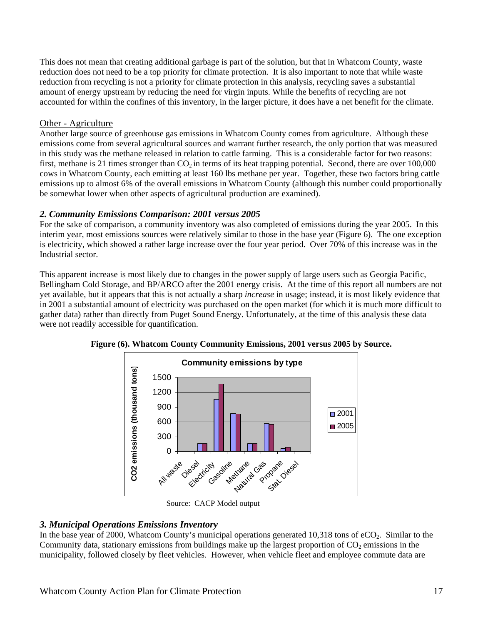This does not mean that creating additional garbage is part of the solution, but that in Whatcom County, waste reduction does not need to be a top priority for climate protection. It is also important to note that while waste reduction from recycling is not a priority for climate protection in this analysis, recycling saves a substantial amount of energy upstream by reducing the need for virgin inputs. While the benefits of recycling are not accounted for within the confines of this inventory, in the larger picture, it does have a net benefit for the climate.

#### Other - Agriculture

Another large source of greenhouse gas emissions in Whatcom County comes from agriculture. Although these emissions come from several agricultural sources and warrant further research, the only portion that was measured in this study was the methane released in relation to cattle farming. This is a considerable factor for two reasons: first, methane is 21 times stronger than  $CO<sub>2</sub>$  in terms of its heat trapping potential. Second, there are over 100,000 cows in Whatcom County, each emitting at least 160 lbs methane per year. Together, these two factors bring cattle emissions up to almost 6% of the overall emissions in Whatcom County (although this number could proportionally be somewhat lower when other aspects of agricultural production are examined).

#### *2. Community Emissions Comparison: 2001 versus 2005*

For the sake of comparison, a community inventory was also completed of emissions during the year 2005. In this interim year, most emissions sources were relatively similar to those in the base year (Figure 6). The one exception is electricity, which showed a rather large increase over the four year period. Over 70% of this increase was in the Industrial sector.

This apparent increase is most likely due to changes in the power supply of large users such as Georgia Pacific, Bellingham Cold Storage, and BP/ARCO after the 2001 energy crisis. At the time of this report all numbers are not yet available, but it appears that this is not actually a sharp *increase* in usage; instead, it is most likely evidence that in 2001 a substantial amount of electricity was purchased on the open market (for which it is much more difficult to gather data) rather than directly from Puget Sound Energy. Unfortunately, at the time of this analysis these data were not readily accessible for quantification.



**Figure (6). Whatcom County Community Emissions, 2001 versus 2005 by Source.** 

Source: CACP Model output

#### *3. Municipal Operations Emissions Inventory*

In the base year of 2000, Whatcom County's municipal operations generated 10,318 tons of  $eCO<sub>2</sub>$ . Similar to the Community data, stationary emissions from buildings make up the largest proportion of  $CO<sub>2</sub>$  emissions in the municipality, followed closely by fleet vehicles. However, when vehicle fleet and employee commute data are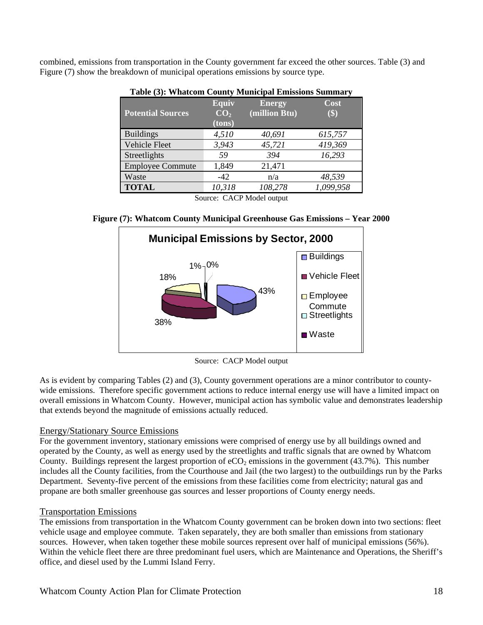combined, emissions from transportation in the County government far exceed the other sources. Table (3) and Figure (7) show the breakdown of municipal operations emissions by source type.

|                                                             | $\overline{ }$                            |                                |             |  |  |
|-------------------------------------------------------------|-------------------------------------------|--------------------------------|-------------|--|--|
| <b>Potential Sources</b>                                    | <b>Equiv</b><br>CO <sub>2</sub><br>(tons) | <b>Energy</b><br>(million Btu) | Cost<br>\$) |  |  |
| <b>Buildings</b>                                            | 4,510                                     | 40,691                         | 615,757     |  |  |
| <b>Vehicle Fleet</b>                                        | 3,943                                     | 45,721                         | 419,369     |  |  |
| Streetlights                                                | 59                                        | 394                            | 16,293      |  |  |
| <b>Employee Commute</b>                                     | 1,849                                     | 21,471                         |             |  |  |
| Waste                                                       | $-42$                                     | n/a                            | 48,539      |  |  |
| <b>TOTAL</b>                                                | 10,318                                    | 108,278                        | 1,099,958   |  |  |
| $\sim$<br>$\alpha$ . $\alpha$ $\alpha$ $\alpha$<br>$\cdots$ |                                           |                                |             |  |  |

**Table (3): Whatcom County Municipal Emissions Summary**

Source: CACP Model output

**Figure (7): Whatcom County Municipal Greenhouse Gas Emissions – Year 2000** 



Source: CACP Model output

As is evident by comparing Tables (2) and (3), County government operations are a minor contributor to countywide emissions. Therefore specific government actions to reduce internal energy use will have a limited impact on overall emissions in Whatcom County. However, municipal action has symbolic value and demonstrates leadership that extends beyond the magnitude of emissions actually reduced.

#### Energy/Stationary Source Emissions

For the government inventory, stationary emissions were comprised of energy use by all buildings owned and operated by the County, as well as energy used by the streetlights and traffic signals that are owned by Whatcom County. Buildings represent the largest proportion of  $eCO<sub>2</sub>$  emissions in the government (43.7%). This number includes all the County facilities, from the Courthouse and Jail (the two largest) to the outbuildings run by the Parks Department. Seventy-five percent of the emissions from these facilities come from electricity; natural gas and propane are both smaller greenhouse gas sources and lesser proportions of County energy needs.

#### Transportation Emissions

The emissions from transportation in the Whatcom County government can be broken down into two sections: fleet vehicle usage and employee commute. Taken separately, they are both smaller than emissions from stationary sources. However, when taken together these mobile sources represent over half of municipal emissions (56%). Within the vehicle fleet there are three predominant fuel users, which are Maintenance and Operations, the Sheriff's office, and diesel used by the Lummi Island Ferry.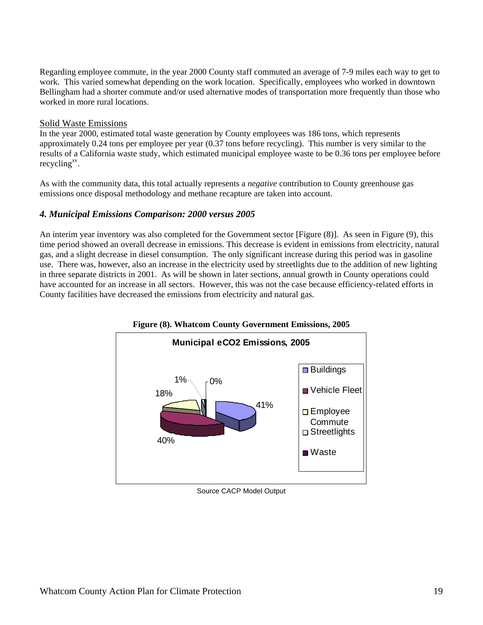Regarding employee commute, in the year 2000 County staff commuted an average of 7-9 miles each way to get to work. This varied somewhat depending on the work location. Specifically, employees who worked in downtown Bellingham had a shorter commute and/or used alternative modes of transportation more frequently than those who worked in more rural locations.

#### Solid Waste Emissions

In the year 2000, estimated total waste generation by County employees was 186 tons, which represents approximately 0.24 tons per employee per year (0.37 tons before recycling). This number is very similar to the results of a California waste study, which estimated municipal employee waste to be 0.36 tons per employee before recycling $x^{\rm v}$ .

As with the community data, this total actually represents a *negative* contribution to County greenhouse gas emissions once disposal methodology and methane recapture are taken into account.

#### *4. Municipal Emissions Comparison: 2000 versus 2005*

An interim year inventory was also completed for the Government sector [Figure (8)]. As seen in Figure (9), this time period showed an overall decrease in emissions. This decrease is evident in emissions from electricity, natural gas, and a slight decrease in diesel consumption. The only significant increase during this period was in gasoline use. There was, however, also an increase in the electricity used by streetlights due to the addition of new lighting in three separate districts in 2001. As will be shown in later sections, annual growth in County operations could have accounted for an increase in all sectors. However, this was not the case because efficiency-related efforts in County facilities have decreased the emissions from electricity and natural gas.



Source CACP Model Output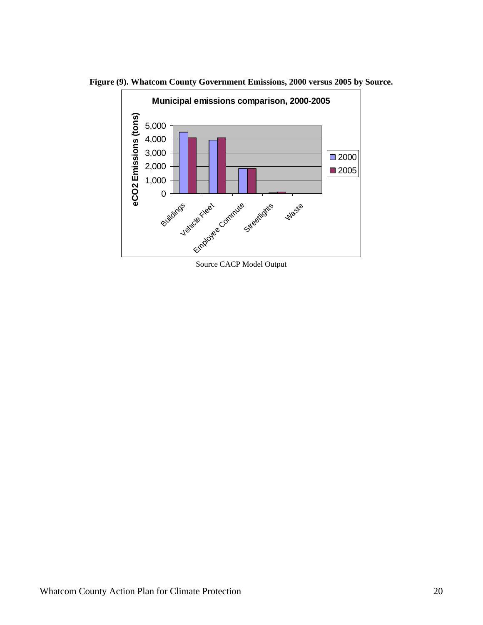

**Figure (9). Whatcom County Government Emissions, 2000 versus 2005 by Source.** 

Source CACP Model Output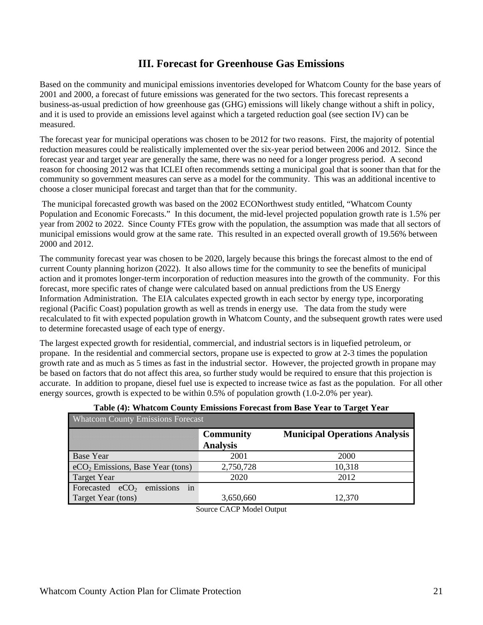### **III. Forecast for Greenhouse Gas Emissions**

Based on the community and municipal emissions inventories developed for Whatcom County for the base years of 2001 and 2000, a forecast of future emissions was generated for the two sectors. This forecast represents a business-as-usual prediction of how greenhouse gas (GHG) emissions will likely change without a shift in policy, and it is used to provide an emissions level against which a targeted reduction goal (see section IV) can be measured.

The forecast year for municipal operations was chosen to be 2012 for two reasons. First, the majority of potential reduction measures could be realistically implemented over the six-year period between 2006 and 2012. Since the forecast year and target year are generally the same, there was no need for a longer progress period. A second reason for choosing 2012 was that ICLEI often recommends setting a municipal goal that is sooner than that for the community so government measures can serve as a model for the community. This was an additional incentive to choose a closer municipal forecast and target than that for the community.

 The municipal forecasted growth was based on the 2002 ECONorthwest study entitled, "Whatcom County Population and Economic Forecasts." In this document, the mid-level projected population growth rate is 1.5% per year from 2002 to 2022. Since County FTEs grow with the population, the assumption was made that all sectors of municipal emissions would grow at the same rate. This resulted in an expected overall growth of 19.56% between 2000 and 2012.

The community forecast year was chosen to be 2020, largely because this brings the forecast almost to the end of current County planning horizon (2022). It also allows time for the community to see the benefits of municipal action and it promotes longer-term incorporation of reduction measures into the growth of the community. For this forecast, more specific rates of change were calculated based on annual predictions from the US Energy Information Administration. The EIA calculates expected growth in each sector by energy type, incorporating regional (Pacific Coast) population growth as well as trends in energy use. The data from the study were recalculated to fit with expected population growth in Whatcom County, and the subsequent growth rates were used to determine forecasted usage of each type of energy.

The largest expected growth for residential, commercial, and industrial sectors is in liquefied petroleum, or propane. In the residential and commercial sectors, propane use is expected to grow at 2-3 times the population growth rate and as much as 5 times as fast in the industrial sector. However, the projected growth in propane may be based on factors that do not affect this area, so further study would be required to ensure that this projection is accurate. In addition to propane, diesel fuel use is expected to increase twice as fast as the population. For all other energy sources, growth is expected to be within 0.5% of population growth (1.0-2.0% per year).

| <b>Whatcom County Emissions Forecast</b> |                  |                                      |  |  |  |
|------------------------------------------|------------------|--------------------------------------|--|--|--|
|                                          | <b>Community</b> | <b>Municipal Operations Analysis</b> |  |  |  |
|                                          | <b>Analysis</b>  |                                      |  |  |  |
| <b>Base Year</b>                         | 2001             | 2000                                 |  |  |  |
| $eCO2$ Emissions, Base Year (tons)       | 2,750,728        | 10,318                               |  |  |  |
| <b>Target Year</b>                       | 2020             | 2012                                 |  |  |  |
| in<br>emissions<br>Forecasted $eCO2$     |                  |                                      |  |  |  |
| Target Year (tons)                       | 3,650,660        | 12,370                               |  |  |  |
| $\sim$                                   | --------         |                                      |  |  |  |

#### **Table (4): Whatcom County Emissions Forecast from Base Year to Target Year**

Source CACP Model Output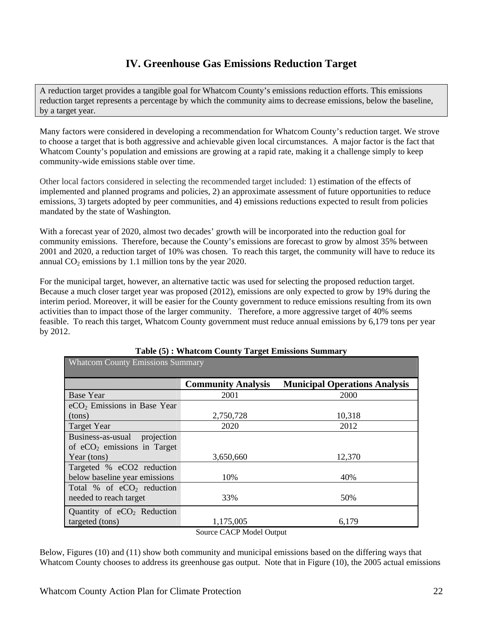### **IV. Greenhouse Gas Emissions Reduction Target**

A reduction target provides a tangible goal for Whatcom County's emissions reduction efforts. This emissions reduction target represents a percentage by which the community aims to decrease emissions, below the baseline, by a target year.

Many factors were considered in developing a recommendation for Whatcom County's reduction target. We strove to choose a target that is both aggressive and achievable given local circumstances. A major factor is the fact that Whatcom County's population and emissions are growing at a rapid rate, making it a challenge simply to keep community-wide emissions stable over time.

Other local factors considered in selecting the recommended target included: 1) estimation of the effects of implemented and planned programs and policies, 2) an approximate assessment of future opportunities to reduce emissions, 3) targets adopted by peer communities, and 4) emissions reductions expected to result from policies mandated by the state of Washington.

With a forecast year of 2020, almost two decades' growth will be incorporated into the reduction goal for community emissions. Therefore, because the County's emissions are forecast to grow by almost 35% between 2001 and 2020, a reduction target of 10% was chosen. To reach this target, the community will have to reduce its annual  $CO<sub>2</sub>$  emissions by 1.1 million tons by the year 2020.

For the municipal target, however, an alternative tactic was used for selecting the proposed reduction target. Because a much closer target year was proposed (2012), emissions are only expected to grow by 19% during the interim period. Moreover, it will be easier for the County government to reduce emissions resulting from its own activities than to impact those of the larger community. Therefore, a more aggressive target of 40% seems feasible. To reach this target, Whatcom County government must reduce annual emissions by 6,179 tons per year by 2012.

| <b>Whatcom County Emissions Summary</b> |                           |                                      |
|-----------------------------------------|---------------------------|--------------------------------------|
|                                         | <b>Community Analysis</b> | <b>Municipal Operations Analysis</b> |
| <b>Base Year</b>                        | 2001                      | 2000                                 |
| eCO <sub>2</sub> Emissions in Base Year |                           |                                      |
| (tons)                                  | 2,750,728                 | 10,318                               |
| <b>Target Year</b>                      | 2020                      | 2012                                 |
| Business-as-usual<br>projection         |                           |                                      |
| of $eCO2$ emissions in Target           |                           |                                      |
| Year (tons)                             | 3,650,660                 | 12,370                               |
| Targeted % eCO2 reduction               |                           |                                      |
| below baseline year emissions           | 10%                       | 40%                                  |
| Total % of $eCO2$ reduction             |                           |                                      |
| needed to reach target                  | 33%                       | 50%                                  |
| Quantity of $eCO2$ Reduction            |                           |                                      |
| targeted (tons)                         | 1,175,005                 | 6,179                                |
|                                         | Source CACP Model Output  |                                      |

### **Table (5) : Whatcom County Target Emissions Summary**

Below, Figures (10) and (11) show both community and municipal emissions based on the differing ways that Whatcom County chooses to address its greenhouse gas output. Note that in Figure (10), the 2005 actual emissions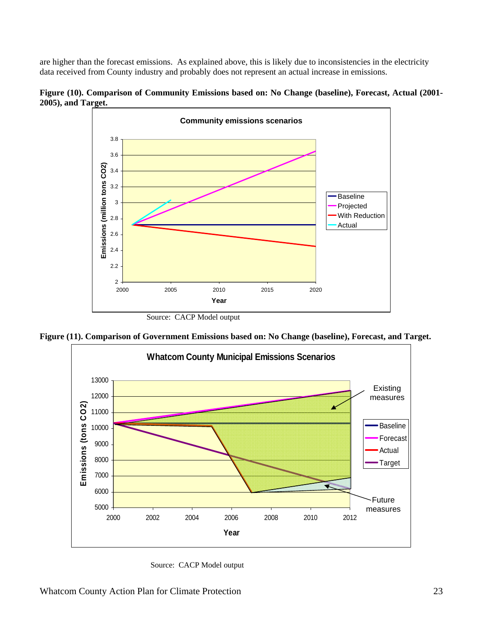are higher than the forecast emissions. As explained above, this is likely due to inconsistencies in the electricity data received from County industry and probably does not represent an actual increase in emissions.



**Figure (10). Comparison of Community Emissions based on: No Change (baseline), Forecast, Actual (2001- 2005), and Target.** 

Source: CACP Model output





Source: CACP Model output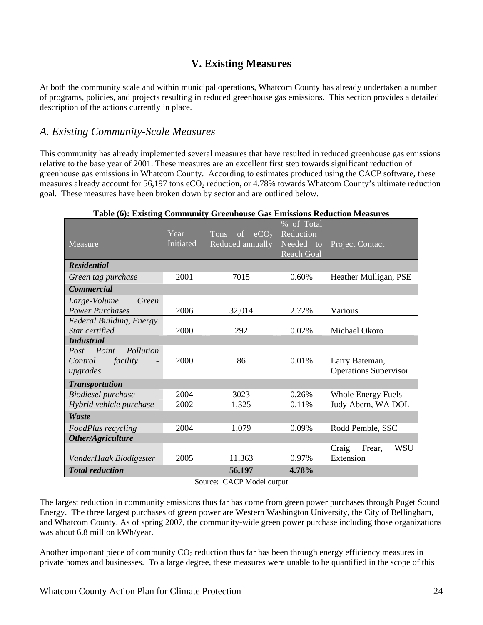### **V. Existing Measures**

At both the community scale and within municipal operations, Whatcom County has already undertaken a number of programs, policies, and projects resulting in reduced greenhouse gas emissions. This section provides a detailed description of the actions currently in place.

### *A. Existing Community-Scale Measures*

This community has already implemented several measures that have resulted in reduced greenhouse gas emissions relative to the base year of 2001. These measures are an excellent first step towards significant reduction of greenhouse gas emissions in Whatcom County. According to estimates produced using the CACP software, these measures already account for 56,197 tons eCO<sub>2</sub> reduction, or 4.78% towards Whatcom County's ultimate reduction goal. These measures have been broken down by sector and are outlined below.

#### **Table (6): Existing Community Greenhouse Gas Emissions Reduction Measures**

|                                                   | Year      | eCO <sub>2</sub><br><b>Tons</b><br>of | % of Total<br>Reduction        |                              |
|---------------------------------------------------|-----------|---------------------------------------|--------------------------------|------------------------------|
| Measure                                           | Initiated | Reduced annually                      | Needed to<br><b>Reach Goal</b> | <b>Project Contact</b>       |
| <b>Residential</b>                                |           |                                       |                                |                              |
| Green tag purchase                                | 2001      | 7015                                  | 0.60%                          | Heather Mulligan, PSE        |
| <b>Commercial</b>                                 |           |                                       |                                |                              |
| Large-Volume<br>Green                             |           |                                       |                                |                              |
| <b>Power Purchases</b>                            | 2006      | 32,014                                | 2.72%                          | Various                      |
| <b>Federal Building, Energy</b>                   |           |                                       |                                |                              |
| Star certified                                    | 2000      | 292                                   | 0.02%                          | Michael Okoro                |
| <b>Industrial</b>                                 |           |                                       |                                |                              |
| Point<br>Pollution<br>Post<br>facility<br>Control | 2000      | 86                                    | 0.01%                          | Larry Bateman,               |
| upgrades                                          |           |                                       |                                | <b>Operations Supervisor</b> |
| <b>Transportation</b>                             |           |                                       |                                |                              |
| <b>Biodiesel</b> purchase                         | 2004      | 3023                                  | 0.26%                          | <b>Whole Energy Fuels</b>    |
| Hybrid vehicle purchase                           | 2002      | 1,325                                 | 0.11%                          | Judy Abern, WA DOL           |
| Waste                                             |           |                                       |                                |                              |
| FoodPlus recycling                                | 2004      | 1,079                                 | 0.09%                          | Rodd Pemble, SSC             |
| Other/Agriculture                                 |           |                                       |                                |                              |
|                                                   |           |                                       |                                | WSU<br>Frear.<br>Craig       |
| VanderHaak Biodigester                            | 2005      | 11,363                                | 0.97%                          | Extension                    |
| <b>Total reduction</b>                            |           | 56,197                                | 4.78%                          |                              |

Source: CACP Model output

The largest reduction in community emissions thus far has come from green power purchases through Puget Sound Energy. The three largest purchases of green power are Western Washington University, the City of Bellingham, and Whatcom County. As of spring 2007, the community-wide green power purchase including those organizations was about 6.8 million kWh/year.

Another important piece of community  $CO<sub>2</sub>$  reduction thus far has been through energy efficiency measures in private homes and businesses. To a large degree, these measures were unable to be quantified in the scope of this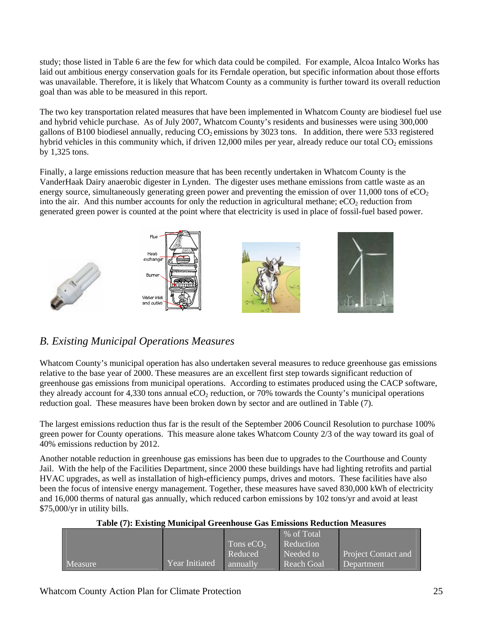study; those listed in Table 6 are the few for which data could be compiled. For example, Alcoa Intalco Works has laid out ambitious energy conservation goals for its Ferndale operation, but specific information about those efforts was unavailable. Therefore, it is likely that Whatcom County as a community is further toward its overall reduction goal than was able to be measured in this report.

The two key transportation related measures that have been implemented in Whatcom County are biodiesel fuel use and hybrid vehicle purchase. As of July 2007, Whatcom County's residents and businesses were using 300,000 gallons of B100 biodiesel annually, reducing  $CO<sub>2</sub>$  emissions by 3023 tons. In addition, there were 533 registered hybrid vehicles in this community which, if driven 12,000 miles per year, already reduce our total  $CO<sub>2</sub>$  emissions by 1,325 tons.

Finally, a large emissions reduction measure that has been recently undertaken in Whatcom County is the VanderHaak Dairy anaerobic digester in Lynden. The digester uses methane emissions from cattle waste as an energy source, simultaneously generating green power and preventing the emission of over  $11,000$  tons of  $eCO<sub>2</sub>$ into the air. And this number accounts for only the reduction in agricultural methane;  $eCO<sub>2</sub>$  reduction from generated green power is counted at the point where that electricity is used in place of fossil-fuel based power.



### *B. Existing Municipal Operations Measures*

Whatcom County's municipal operation has also undertaken several measures to reduce greenhouse gas emissions relative to the base year of 2000. These measures are an excellent first step towards significant reduction of greenhouse gas emissions from municipal operations. According to estimates produced using the CACP software, they already account for 4,330 tons annual  $eCO<sub>2</sub>$  reduction, or 70% towards the County's municipal operations reduction goal. These measures have been broken down by sector and are outlined in Table (7).

The largest emissions reduction thus far is the result of the September 2006 Council Resolution to purchase 100% green power for County operations. This measure alone takes Whatcom County 2/3 of the way toward its goal of 40% emissions reduction by 2012.

Another notable reduction in greenhouse gas emissions has been due to upgrades to the Courthouse and County Jail. With the help of the Facilities Department, since 2000 these buildings have had lighting retrofits and partial HVAC upgrades, as well as installation of high-efficiency pumps, drives and motors. These facilities have also been the focus of intensive energy management. Together, these measures have saved 830,000 kWh of electricity and 16,000 therms of natural gas annually, which reduced carbon emissions by 102 tons/yr and avoid at least \$75,000/yr in utility bills.

|                |                       |             | % of Total |                            |
|----------------|-----------------------|-------------|------------|----------------------------|
|                |                       | Tons $eCO2$ | Reduction  |                            |
|                |                       | Reduced     | Needed to  | <b>Project Contact and</b> |
| <b>Measure</b> | <b>Year Initiated</b> | annually    | Reach Goal | Department                 |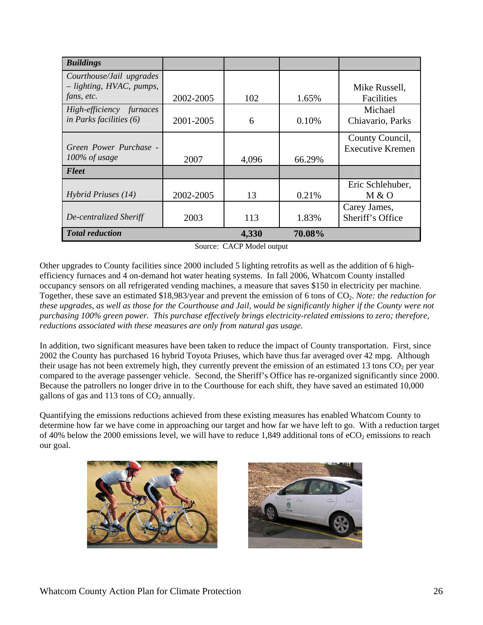| <b>Buildings</b>           |           |       |        |                         |
|----------------------------|-----------|-------|--------|-------------------------|
| Courthouse/Jail upgrades   |           |       |        |                         |
| $-$ lighting, HVAC, pumps, |           |       |        | Mike Russell,           |
| fans, etc.                 | 2002-2005 | 102   | 1.65%  | Facilities              |
| High-efficiency furnaces   |           |       |        | Michael                 |
| in Parks facilities $(6)$  | 2001-2005 | 6     | 0.10%  | Chiavario, Parks        |
|                            |           |       |        | County Council,         |
| Green Power Purchase -     |           |       |        | <b>Executive Kremen</b> |
| $100\%$ of usage           | 2007      | 4,096 | 66.29% |                         |
| Fleet                      |           |       |        |                         |
|                            |           |       |        | Eric Schlehuber,        |
| Hybrid Priuses $(14)$      | 2002-2005 | 13    | 0.21%  | M & O                   |
|                            |           |       |        | Carey James,            |
| De-centralized Sheriff     | 2003      | 113   | 1.83%  | Sheriff's Office        |
| <b>Total reduction</b>     |           | 4,330 | 70.08% |                         |

Source: CACP Model output

Other upgrades to County facilities since 2000 included 5 lighting retrofits as well as the addition of 6 highefficiency furnaces and 4 on-demand hot water heating systems. In fall 2006, Whatcom County installed occupancy sensors on all refrigerated vending machines, a measure that saves \$150 in electricity per machine. Together, these save an estimated \$18,983/year and prevent the emission of 6 tons of CO<sub>2</sub>. *Note: the reduction for these upgrades, as well as those for the Courthouse and Jail, would be significantly higher if the County were not purchasing 100% green power. This purchase effectively brings electricity-related emissions to zero; therefore, reductions associated with these measures are only from natural gas usage.* 

In addition, two significant measures have been taken to reduce the impact of County transportation. First, since 2002 the County has purchased 16 hybrid Toyota Priuses, which have thus far averaged over 42 mpg. Although their usage has not been extremely high, they currently prevent the emission of an estimated 13 tons  $CO<sub>2</sub>$  per year compared to the average passenger vehicle. Second, the Sheriff's Office has re-organized significantly since 2000. Because the patrollers no longer drive in to the Courthouse for each shift, they have saved an estimated 10,000 gallons of gas and 113 tons of  $CO<sub>2</sub>$  annually.

Quantifying the emissions reductions achieved from these existing measures has enabled Whatcom County to determine how far we have come in approaching our target and how far we have left to go. With a reduction target of 40% below the 2000 emissions level, we will have to reduce 1,849 additional tons of  $eCO<sub>2</sub>$  emissions to reach our goal.



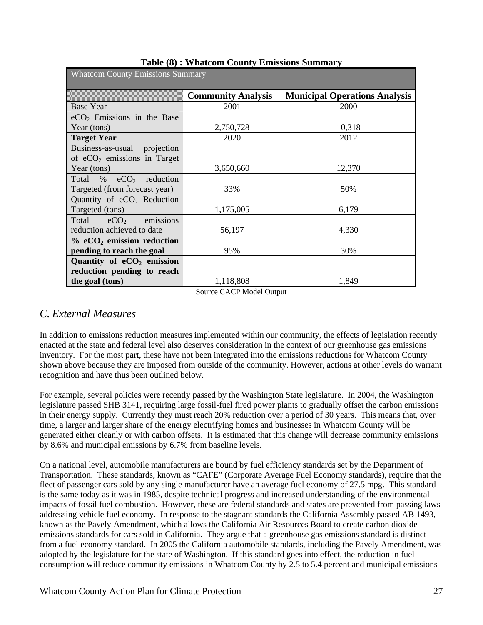| <b>Whatcom County Emissions Summary</b> |                           |                                      |
|-----------------------------------------|---------------------------|--------------------------------------|
|                                         | <b>Community Analysis</b> | <b>Municipal Operations Analysis</b> |
| <b>Base Year</b>                        | 2001                      | 2000                                 |
| $eCO2$ Emissions in the Base            |                           |                                      |
| Year (tons)                             | 2,750,728                 | 10,318                               |
| <b>Target Year</b>                      | 2020                      | 2012                                 |
| Business-as-usual projection            |                           |                                      |
| of $eCO2$ emissions in Target           |                           |                                      |
| Year (tons)                             | 3,650,660                 | 12,370                               |
| Total<br>% $eCO2$ reduction             |                           |                                      |
| Targeted (from forecast year)           | 33%                       | 50%                                  |
| Quantity of $eCO2$ Reduction            |                           |                                      |
| Targeted (tons)                         | 1,175,005                 | 6,179                                |
| emissions<br>eCO <sub>2</sub><br>Total  |                           |                                      |
| reduction achieved to date              | 56,197                    | 4,330                                |
| $%$ eCO <sub>2</sub> emission reduction |                           |                                      |
| pending to reach the goal               | 95%                       | 30%                                  |
| Quantity of $eCO2$ emission             |                           |                                      |
| reduction pending to reach              |                           |                                      |
| the goal (tons)                         | 1,118,808<br>$\sim$       | 1,849                                |

#### **Table (8) : Whatcom County Emissions Summary**

Source CACP Model Output

### *C. External Measures*

In addition to emissions reduction measures implemented within our community, the effects of legislation recently enacted at the state and federal level also deserves consideration in the context of our greenhouse gas emissions inventory. For the most part, these have not been integrated into the emissions reductions for Whatcom County shown above because they are imposed from outside of the community. However, actions at other levels do warrant recognition and have thus been outlined below.

For example, several policies were recently passed by the Washington State legislature. In 2004, the Washington legislature passed SHB 3141, requiring large fossil-fuel fired power plants to gradually offset the carbon emissions in their energy supply. Currently they must reach 20% reduction over a period of 30 years. This means that, over time, a larger and larger share of the energy electrifying homes and businesses in Whatcom County will be generated either cleanly or with carbon offsets. It is estimated that this change will decrease community emissions by 8.6% and municipal emissions by 6.7% from baseline levels.

On a national level, automobile manufacturers are bound by fuel efficiency standards set by the Department of Transportation. These standards, known as "CAFE" (Corporate Average Fuel Economy standards), require that the fleet of passenger cars sold by any single manufacturer have an average fuel economy of 27.5 mpg. This standard is the same today as it was in 1985, despite technical progress and increased understanding of the environmental impacts of fossil fuel combustion. However, these are federal standards and states are prevented from passing laws addressing vehicle fuel economy. In response to the stagnant standards the California Assembly passed AB 1493, known as the Pavely Amendment, which allows the California Air Resources Board to create carbon dioxide emissions standards for cars sold in California. They argue that a greenhouse gas emissions standard is distinct from a fuel economy standard. In 2005 the California automobile standards, including the Pavely Amendment, was adopted by the legislature for the state of Washington. If this standard goes into effect, the reduction in fuel consumption will reduce community emissions in Whatcom County by 2.5 to 5.4 percent and municipal emissions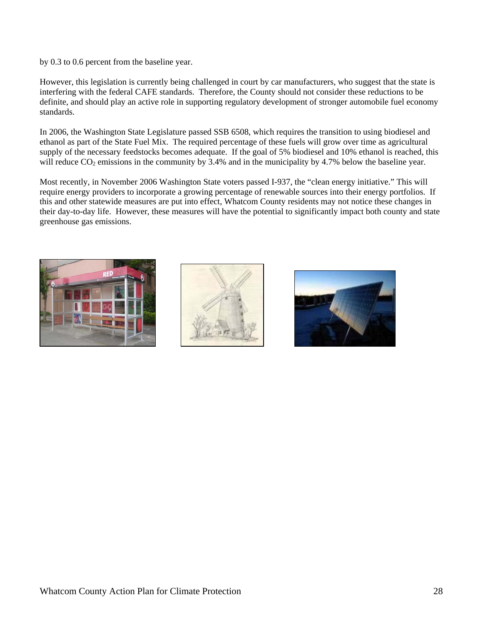by 0.3 to 0.6 percent from the baseline year.

However, this legislation is currently being challenged in court by car manufacturers, who suggest that the state is interfering with the federal CAFE standards. Therefore, the County should not consider these reductions to be definite, and should play an active role in supporting regulatory development of stronger automobile fuel economy standards.

In 2006, the Washington State Legislature passed SSB 6508, which requires the transition to using biodiesel and ethanol as part of the State Fuel Mix. The required percentage of these fuels will grow over time as agricultural supply of the necessary feedstocks becomes adequate. If the goal of 5% biodiesel and 10% ethanol is reached, this will reduce  $CO_2$  emissions in the community by 3.4% and in the municipality by 4.7% below the baseline year.

Most recently, in November 2006 Washington State voters passed I-937, the "clean energy initiative." This will require energy providers to incorporate a growing percentage of renewable sources into their energy portfolios. If this and other statewide measures are put into effect, Whatcom County residents may not notice these changes in their day-to-day life. However, these measures will have the potential to significantly impact both county and state greenhouse gas emissions.





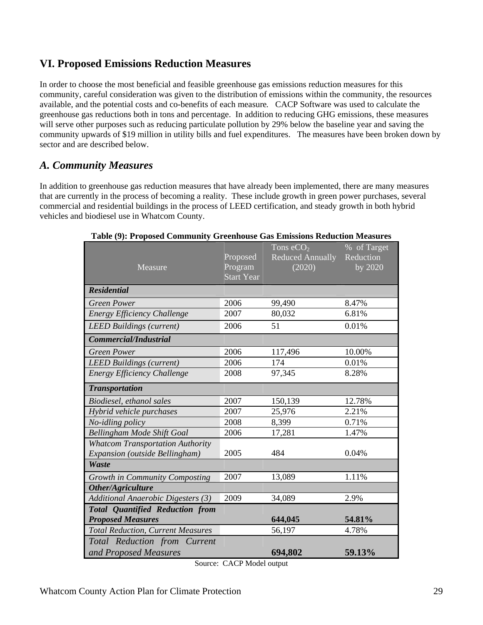### **VI. Proposed Emissions Reduction Measures**

In order to choose the most beneficial and feasible greenhouse gas emissions reduction measures for this community, careful consideration was given to the distribution of emissions within the community, the resources available, and the potential costs and co-benefits of each measure*.* CACP Software was used to calculate the greenhouse gas reductions both in tons and percentage. In addition to reducing GHG emissions, these measures will serve other purposes such as reducing particulate pollution by 29% below the baseline year and saving the community upwards of \$19 million in utility bills and fuel expenditures. The measures have been broken down by sector and are described below.

### *A. Community Measures*

In addition to greenhouse gas reduction measures that have already been implemented, there are many measures that are currently in the process of becoming a reality. These include growth in green power purchases, several commercial and residential buildings in the process of LEED certification, and steady growth in both hybrid vehicles and biodiesel use in Whatcom County.

| Measure                                   | Proposed<br>Program | Tons $eCO2$<br><b>Reduced Annually</b><br>(2020) | % of Target<br>Reduction<br>by 2020 |
|-------------------------------------------|---------------------|--------------------------------------------------|-------------------------------------|
|                                           | <b>Start Year</b>   |                                                  |                                     |
| <b>Residential</b>                        |                     |                                                  |                                     |
| <b>Green Power</b>                        | 2006                | 99,490                                           | 8.47%                               |
| Energy Efficiency Challenge               | 2007                | 80,032                                           | 6.81%                               |
| <b>LEED Buildings (current)</b>           | 2006                | 51                                               | 0.01%                               |
| Commercial/Industrial                     |                     |                                                  |                                     |
| <b>Green Power</b>                        | 2006                | 117,496                                          | 10.00%                              |
| <b>LEED Buildings (current)</b>           | 2006                | 174                                              | 0.01%                               |
| <b>Energy Efficiency Challenge</b>        | 2008                | 97,345                                           | 8.28%                               |
| <b>Transportation</b>                     |                     |                                                  |                                     |
| Biodiesel, ethanol sales                  | 2007                | 150,139                                          | 12.78%                              |
| Hybrid vehicle purchases                  | 2007                | 25,976                                           | 2.21%                               |
| No-idling policy                          | 2008                | 8,399                                            | 0.71%                               |
| Bellingham Mode Shift Goal                | 2006                | 17,281                                           | 1.47%                               |
| <b>Whatcom Transportation Authority</b>   |                     |                                                  |                                     |
| Expansion (outside Bellingham)            | 2005                | 484                                              | 0.04%                               |
| Waste                                     |                     |                                                  |                                     |
| Growth in Community Composting            | 2007                | 13,089                                           | 1.11%                               |
| Other/Agriculture                         |                     |                                                  |                                     |
| <b>Additional Anaerobic Digesters (3)</b> | 2009                | 34,089                                           | 2.9%                                |
| <b>Total Quantified Reduction from</b>    |                     |                                                  |                                     |
| <b>Proposed Measures</b>                  |                     | 644,045                                          | 54.81%                              |
| <b>Total Reduction, Current Measures</b>  |                     | 56,197                                           | 4.78%                               |
| Total Reduction from Current              |                     |                                                  |                                     |
| and Proposed Measures                     |                     | 694,802                                          | 59.13%                              |

#### **Table (9): Proposed Community Greenhouse Gas Emissions Reduction Measures**

Source: CACP Model output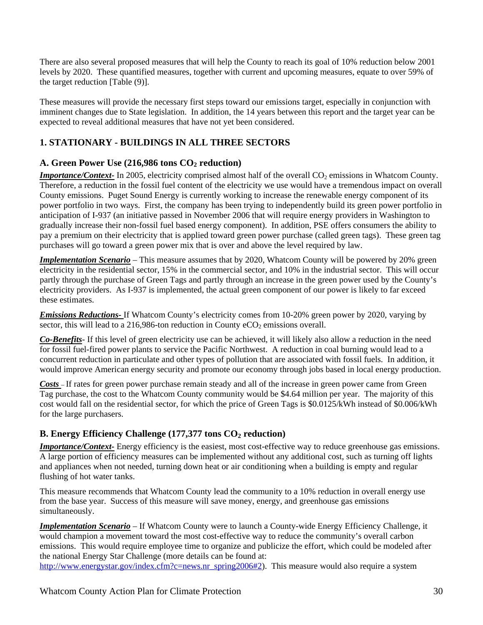There are also several proposed measures that will help the County to reach its goal of 10% reduction below 2001 levels by 2020. These quantified measures, together with current and upcoming measures, equate to over 59% of the target reduction [Table (9)].

These measures will provide the necessary first steps toward our emissions target, especially in conjunction with imminent changes due to State legislation. In addition, the 14 years between this report and the target year can be expected to reveal additional measures that have not yet been considered.

### **1. STATIONARY - BUILDINGS IN ALL THREE SECTORS**

### A. Green Power Use (216,986 tons CO<sub>2</sub> reduction)

*Importance/Context*- In 2005, electricity comprised almost half of the overall CO<sub>2</sub> emissions in Whatcom County. Therefore, a reduction in the fossil fuel content of the electricity we use would have a tremendous impact on overall County emissions. Puget Sound Energy is currently working to increase the renewable energy component of its power portfolio in two ways. First, the company has been trying to independently build its green power portfolio in anticipation of I-937 (an initiative passed in November 2006 that will require energy providers in Washington to gradually increase their non-fossil fuel based energy component). In addition, PSE offers consumers the ability to pay a premium on their electricity that is applied toward green power purchase (called green tags). These green tag purchases will go toward a green power mix that is over and above the level required by law.

*Implementation Scenario* – This measure assumes that by 2020, Whatcom County will be powered by 20% green electricity in the residential sector, 15% in the commercial sector, and 10% in the industrial sector. This will occur partly through the purchase of Green Tags and partly through an increase in the green power used by the County's electricity providers. As I-937 is implemented, the actual green component of our power is likely to far exceed these estimates.

*Emissions Reductions-* If Whatcom County's electricity comes from 10-20% green power by 2020, varying by sector, this will lead to a  $216,986$ -ton reduction in County eCO<sub>2</sub> emissions overall.

*Co-Benefits-* If this level of green electricity use can be achieved, it will likely also allow a reduction in the need for fossil fuel-fired power plants to service the Pacific Northwest. A reduction in coal burning would lead to a concurrent reduction in particulate and other types of pollution that are associated with fossil fuels. In addition, it would improve American energy security and promote our economy through jobs based in local energy production.

*Costs* – If rates for green power purchase remain steady and all of the increase in green power came from Green Tag purchase, the cost to the Whatcom County community would be \$4.64 million per year. The majority of this cost would fall on the residential sector, for which the price of Green Tags is \$0.0125/kWh instead of \$0.006/kWh for the large purchasers.

### **B. Energy Efficiency Challenge (177,377 tons CO<sub>2</sub> reduction)**

*Importance/Context*- Energy efficiency is the easiest, most cost-effective way to reduce greenhouse gas emissions. A large portion of efficiency measures can be implemented without any additional cost, such as turning off lights and appliances when not needed, turning down heat or air conditioning when a building is empty and regular flushing of hot water tanks.

This measure recommends that Whatcom County lead the community to a 10% reduction in overall energy use from the base year. Success of this measure will save money, energy, and greenhouse gas emissions simultaneously.

*Implementation Scenario* – If Whatcom County were to launch a County-wide Energy Efficiency Challenge, it would champion a movement toward the most cost-effective way to reduce the community's overall carbon emissions. This would require employee time to organize and publicize the effort, which could be modeled after the national Energy Star Challenge (more details can be found at:

http://www.energystar.gov/index.cfm?c=news.nr\_spring2006#2). This measure would also require a system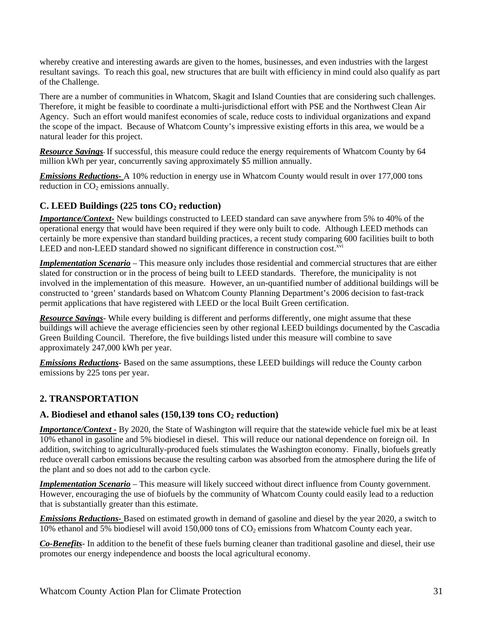whereby creative and interesting awards are given to the homes, businesses, and even industries with the largest resultant savings. To reach this goal, new structures that are built with efficiency in mind could also qualify as part of the Challenge.

There are a number of communities in Whatcom, Skagit and Island Counties that are considering such challenges. Therefore, it might be feasible to coordinate a multi-jurisdictional effort with PSE and the Northwest Clean Air Agency. Such an effort would manifest economies of scale, reduce costs to individual organizations and expand the scope of the impact. Because of Whatcom County's impressive existing efforts in this area, we would be a natural leader for this project.

*Resource Savings*- If successful, this measure could reduce the energy requirements of Whatcom County by 64 million kWh per year, concurrently saving approximately \$5 million annually.

*Emissions Reductions-* A 10% reduction in energy use in Whatcom County would result in over 177,000 tons reduction in  $CO<sub>2</sub>$  emissions annually.

### **C. LEED Buildings (225 tons CO<sub>2</sub> reduction)**

*Importance/Context-* New buildings constructed to LEED standard can save anywhere from 5% to 40% of the operational energy that would have been required if they were only built to code. Although LEED methods can certainly be more expensive than standard building practices, a recent study comparing 600 facilities built to both LEED and non-LEED standard showed no significant difference in construction cost.<sup>xvi</sup>

*Implementation Scenario* – This measure only includes those residential and commercial structures that are either slated for construction or in the process of being built to LEED standards. Therefore, the municipality is not involved in the implementation of this measure. However, an un-quantified number of additional buildings will be constructed to 'green' standards based on Whatcom County Planning Department's 2006 decision to fast-track permit applications that have registered with LEED or the local Built Green certification.

*Resource Savings*- While every building is different and performs differently, one might assume that these buildings will achieve the average efficiencies seen by other regional LEED buildings documented by the Cascadia Green Building Council. Therefore, the five buildings listed under this measure will combine to save approximately 247,000 kWh per year.

*Emissions Reductions-* Based on the same assumptions, these LEED buildings will reduce the County carbon emissions by 225 tons per year.

### **2. TRANSPORTATION**

#### A. Biodiesel and ethanol sales (150,139 tons CO<sub>2</sub> reduction)

*Importance/Context -* By 2020, the State of Washington will require that the statewide vehicle fuel mix be at least 10% ethanol in gasoline and 5% biodiesel in diesel. This will reduce our national dependence on foreign oil. In addition, switching to agriculturally-produced fuels stimulates the Washington economy. Finally, biofuels greatly reduce overall carbon emissions because the resulting carbon was absorbed from the atmosphere during the life of the plant and so does not add to the carbon cycle.

*Implementation Scenario* – This measure will likely succeed without direct influence from County government. However, encouraging the use of biofuels by the community of Whatcom County could easily lead to a reduction that is substantially greater than this estimate.

*Emissions Reductions-* Based on estimated growth in demand of gasoline and diesel by the year 2020, a switch to 10% ethanol and 5% biodiesel will avoid 150,000 tons of  $CO<sub>2</sub>$  emissions from Whatcom County each year.

*Co-Benefits-* In addition to the benefit of these fuels burning cleaner than traditional gasoline and diesel, their use promotes our energy independence and boosts the local agricultural economy.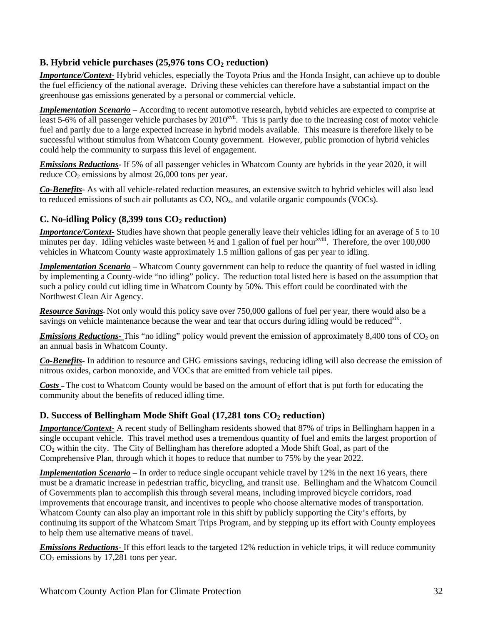### **B.** Hybrid vehicle purchases (25,976 tons  $CO<sub>2</sub>$  reduction)

*Importance/Context-* Hybrid vehicles, especially the Toyota Prius and the Honda Insight, can achieve up to double the fuel efficiency of the national average. Driving these vehicles can therefore have a substantial impact on the greenhouse gas emissions generated by a personal or commercial vehicle.

*Implementation Scenario* – According to recent automotive research, hybrid vehicles are expected to comprise at least 5-6% of all passenger vehicle purchases by  $2010^{x}$ . This is partly due to the increasing cost of motor vehicle fuel and partly due to a large expected increase in hybrid models available. This measure is therefore likely to be successful without stimulus from Whatcom County government. However, public promotion of hybrid vehicles could help the community to surpass this level of engagement.

*Emissions Reductions-* If 5% of all passenger vehicles in Whatcom County are hybrids in the year 2020, it will reduce  $CO<sub>2</sub>$  emissions by almost 26,000 tons per year.

*Co-Benefits-* As with all vehicle-related reduction measures, an extensive switch to hybrid vehicles will also lead to reduced emissions of such air pollutants as  $CO$ ,  $NO<sub>x</sub>$ , and volatile organic compounds (VOCs).

### **C. No-idling Policy (8,399 tons CO2 reduction)**

*Importance/Context-* Studies have shown that people generally leave their vehicles idling for an average of 5 to 10 minutes per day. Idling vehicles waste between  $\frac{1}{2}$  and 1 gallon of fuel per hour<sup>xviii</sup>. Therefore, the over 100,000 vehicles in Whatcom County waste approximately 1.5 million gallons of gas per year to idling.

*Implementation Scenario* – Whatcom County government can help to reduce the quantity of fuel wasted in idling by implementing a County-wide "no idling" policy. The reduction total listed here is based on the assumption that such a policy could cut idling time in Whatcom County by 50%. This effort could be coordinated with the Northwest Clean Air Agency.

*Resource Savings*- Not only would this policy save over 750,000 gallons of fuel per year, there would also be a savings on vehicle maintenance because the wear and tear that occurs during idling would be reduced<sup>xix</sup>.

*Emissions Reductions-* This "no idling" policy would prevent the emission of approximately 8,400 tons of CO<sub>2</sub> on an annual basis in Whatcom County.

*Co-Benefits-* In addition to resource and GHG emissions savings, reducing idling will also decrease the emission of nitrous oxides, carbon monoxide, and VOCs that are emitted from vehicle tail pipes.

*Costs* – The cost to Whatcom County would be based on the amount of effort that is put forth for educating the community about the benefits of reduced idling time.

### **D. Success of Bellingham Mode Shift Goal (17,281 tons CO<sub>2</sub> reduction)**

*Importance/Context-* A recent study of Bellingham residents showed that 87% of trips in Bellingham happen in a single occupant vehicle. This travel method uses a tremendous quantity of fuel and emits the largest proportion of CO2 within the city. The City of Bellingham has therefore adopted a Mode Shift Goal, as part of the Comprehensive Plan, through which it hopes to reduce that number to 75% by the year 2022.

*Implementation Scenario* – In order to reduce single occupant vehicle travel by 12% in the next 16 years, there must be a dramatic increase in pedestrian traffic, bicycling, and transit use. Bellingham and the Whatcom Council of Governments plan to accomplish this through several means, including improved bicycle corridors, road improvements that encourage transit, and incentives to people who choose alternative modes of transportation. Whatcom County can also play an important role in this shift by publicly supporting the City's efforts, by continuing its support of the Whatcom Smart Trips Program, and by stepping up its effort with County employees to help them use alternative means of travel.

*Emissions Reductions-* If this effort leads to the targeted 12% reduction in vehicle trips, it will reduce community  $CO<sub>2</sub>$  emissions by 17,281 tons per year.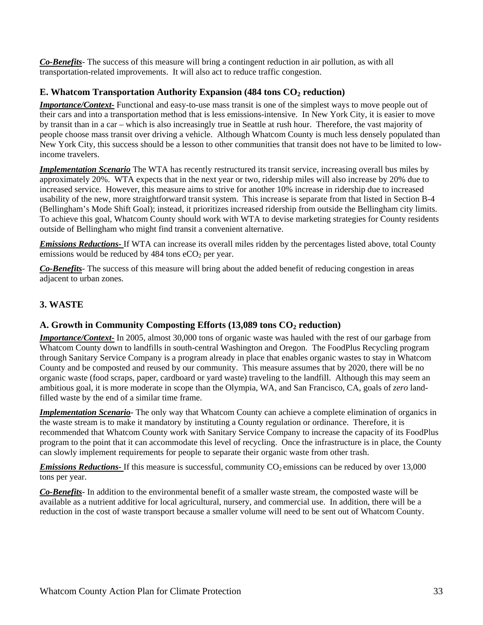*Co-Benefits-* The success of this measure will bring a contingent reduction in air pollution, as with all transportation-related improvements. It will also act to reduce traffic congestion.

#### **E. Whatcom Transportation Authority Expansion (484 tons CO<sub>2</sub> reduction)**

*Importance/Context-* Functional and easy-to-use mass transit is one of the simplest ways to move people out of their cars and into a transportation method that is less emissions-intensive. In New York City, it is easier to move by transit than in a car – which is also increasingly true in Seattle at rush hour. Therefore, the vast majority of people choose mass transit over driving a vehicle. Although Whatcom County is much less densely populated than New York City, this success should be a lesson to other communities that transit does not have to be limited to lowincome travelers.

*Implementation Scenario* The WTA has recently restructured its transit service, increasing overall bus miles by approximately 20%. WTA expects that in the next year or two, ridership miles will also increase by 20% due to increased service. However, this measure aims to strive for another 10% increase in ridership due to increased usability of the new, more straightforward transit system. This increase is separate from that listed in Section B-4 (Bellingham's Mode Shift Goal); instead, it prioritizes increased ridership from outside the Bellingham city limits. To achieve this goal, Whatcom County should work with WTA to devise marketing strategies for County residents outside of Bellingham who might find transit a convenient alternative.

*Emissions Reductions-* If WTA can increase its overall miles ridden by the percentages listed above, total County emissions would be reduced by  $484$  tons eCO<sub>2</sub> per year.

*Co-Benefits-* The success of this measure will bring about the added benefit of reducing congestion in areas adjacent to urban zones.

### **3. WASTE**

### A. Growth in Community Composting Efforts (13,089 tons CO<sub>2</sub> reduction)

*Importance/Context-* In 2005, almost 30,000 tons of organic waste was hauled with the rest of our garbage from Whatcom County down to landfills in south-central Washington and Oregon. The FoodPlus Recycling program through Sanitary Service Company is a program already in place that enables organic wastes to stay in Whatcom County and be composted and reused by our community. This measure assumes that by 2020, there will be no organic waste (food scraps, paper, cardboard or yard waste) traveling to the landfill. Although this may seem an ambitious goal, it is more moderate in scope than the Olympia, WA, and San Francisco, CA, goals of *zero* landfilled waste by the end of a similar time frame.

*Implementation Scenario*- The only way that Whatcom County can achieve a complete elimination of organics in the waste stream is to make it mandatory by instituting a County regulation or ordinance. Therefore, it is recommended that Whatcom County work with Sanitary Service Company to increase the capacity of its FoodPlus program to the point that it can accommodate this level of recycling. Once the infrastructure is in place, the County can slowly implement requirements for people to separate their organic waste from other trash.

*Emissions Reductions-* If this measure is successful, community CO<sub>2</sub> emissions can be reduced by over 13,000 tons per year.

*Co-Benefits-* In addition to the environmental benefit of a smaller waste stream, the composted waste will be available as a nutrient additive for local agricultural, nursery, and commercial use. In addition, there will be a reduction in the cost of waste transport because a smaller volume will need to be sent out of Whatcom County.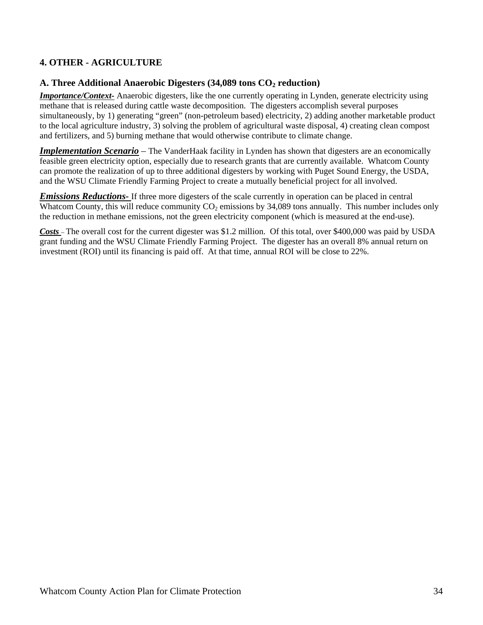### **4. OTHER - AGRICULTURE**

#### A. Three Additional Anaerobic Digesters (34,089 tons CO<sub>2</sub> reduction)

*Importance/Context-* Anaerobic digesters, like the one currently operating in Lynden, generate electricity using methane that is released during cattle waste decomposition. The digesters accomplish several purposes simultaneously, by 1) generating "green" (non-petroleum based) electricity, 2) adding another marketable product to the local agriculture industry, 3) solving the problem of agricultural waste disposal, 4) creating clean compost and fertilizers, and 5) burning methane that would otherwise contribute to climate change.

**Implementation Scenario** – The VanderHaak facility in Lynden has shown that digesters are an economically feasible green electricity option, especially due to research grants that are currently available. Whatcom County can promote the realization of up to three additional digesters by working with Puget Sound Energy, the USDA, and the WSU Climate Friendly Farming Project to create a mutually beneficial project for all involved.

*Emissions Reductions-* If three more digesters of the scale currently in operation can be placed in central Whatcom County, this will reduce community  $CO<sub>2</sub>$  emissions by 34,089 tons annually. This number includes only the reduction in methane emissions, not the green electricity component (which is measured at the end-use).

*Costs* – The overall cost for the current digester was \$1.2 million. Of this total, over \$400,000 was paid by USDA grant funding and the WSU Climate Friendly Farming Project. The digester has an overall 8% annual return on investment (ROI) until its financing is paid off. At that time, annual ROI will be close to 22%.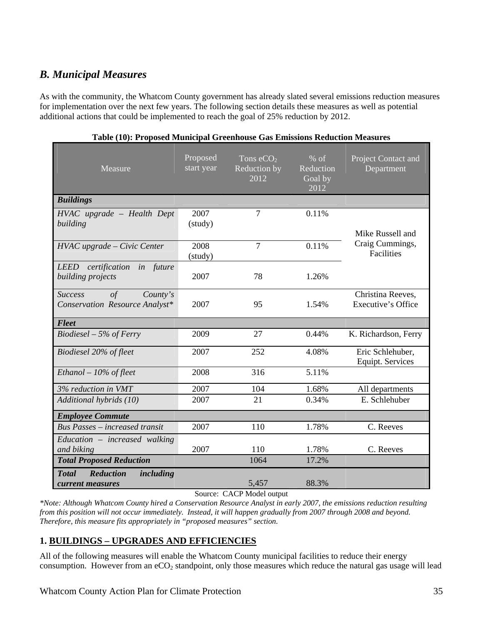## *B. Municipal Measures*

As with the community, the Whatcom County government has already slated several emissions reduction measures for implementation over the next few years. The following section details these measures as well as potential additional actions that could be implemented to reach the goal of 25% reduction by 2012.

| Measure                                                                     | Proposed<br>start year | Tons $eCO2$<br>Reduction by<br>2012 | $%$ of<br>Reduction<br>Goal by<br>2012 | Project Contact and<br>Department           |
|-----------------------------------------------------------------------------|------------------------|-------------------------------------|----------------------------------------|---------------------------------------------|
| <b>Buildings</b>                                                            |                        |                                     |                                        |                                             |
| HVAC upgrade - Health Dept<br>building                                      | 2007<br>(study)        | 7                                   | 0.11%                                  | Mike Russell and                            |
| HVAC upgrade - Civic Center                                                 | 2008<br>(study)        | $\overline{7}$                      | 0.11%                                  | Craig Cummings,<br>Facilities               |
| certification<br><b>LEED</b><br>in future<br>building projects              | 2007                   | 78                                  | 1.26%                                  |                                             |
| $\sigma f$<br><b>Success</b><br>Country's<br>Conservation Resource Analyst* | 2007                   | 95                                  | 1.54%                                  | Christina Reeves,<br>Executive's Office     |
| <b>Fleet</b>                                                                |                        |                                     |                                        |                                             |
| $Biodiesel - 5\%$ of Ferry                                                  | 2009                   | 27                                  | 0.44%                                  | K. Richardson, Ferry                        |
| Biodiesel 20% of fleet                                                      | 2007                   | 252                                 | 4.08%                                  | Eric Schlehuber,<br><b>Equipt.</b> Services |
| Ethanol $-10\%$ of fleet                                                    | 2008                   | 316                                 | 5.11%                                  |                                             |
| 3% reduction in VMT                                                         | 2007                   | 104                                 | 1.68%                                  | All departments                             |
| Additional hybrids (10)                                                     | 2007                   | 21                                  | 0.34%                                  | E. Schlehuber                               |
| <b>Employee Commute</b>                                                     |                        |                                     |                                        |                                             |
| <b>Bus Passes – increased transit</b>                                       | 2007                   | 110                                 | 1.78%                                  | C. Reeves                                   |
| Education – increased walking<br>and biking                                 | 2007                   | 110                                 | 1.78%                                  | C. Reeves                                   |
| <b>Total Proposed Reduction</b>                                             |                        | 1064                                | 17.2%                                  |                                             |
| <b>Reduction</b><br><b>Total</b><br>including<br>current measures           |                        | 5,457                               | 88.3%                                  |                                             |

#### **Table (10): Proposed Municipal Greenhouse Gas Emissions Reduction Measures**

Source: CACP Model output

*\*Note: Although Whatcom County hired a Conservation Resource Analyst in early 2007, the emissions reduction resulting from this position will not occur immediately. Instead, it will happen gradually from 2007 through 2008 and beyond. Therefore, this measure fits appropriately in "proposed measures" section.* 

### **1. BUILDINGS – UPGRADES AND EFFICIENCIES**

All of the following measures will enable the Whatcom County municipal facilities to reduce their energy consumption. However from an  $eCO<sub>2</sub>$  standpoint, only those measures which reduce the natural gas usage will lead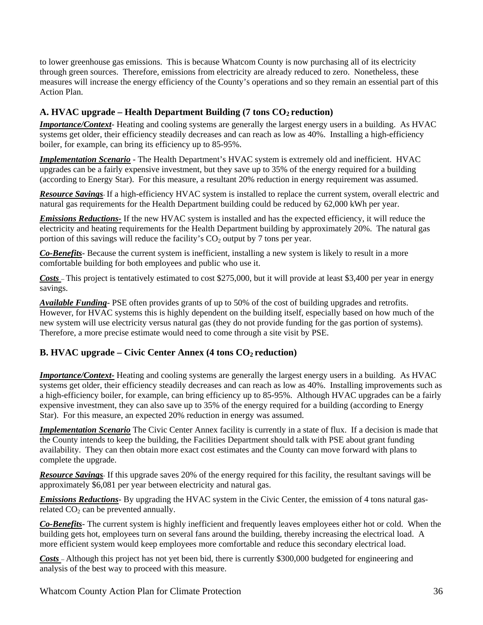to lower greenhouse gas emissions. This is because Whatcom County is now purchasing all of its electricity through green sources. Therefore, emissions from electricity are already reduced to zero. Nonetheless, these measures will increase the energy efficiency of the County's operations and so they remain an essential part of this Action Plan.

### A. **HVAC** upgrade – Health Department Building (7 tons CO<sub>2</sub> reduction)

*Importance/Context*- Heating and cooling systems are generally the largest energy users in a building. As HVAC systems get older, their efficiency steadily decreases and can reach as low as 40%. Installing a high-efficiency boiler, for example, can bring its efficiency up to 85-95%.

*Implementation Scenario* - The Health Department's HVAC system is extremely old and inefficient. HVAC upgrades can be a fairly expensive investment, but they save up to 35% of the energy required for a building (according to Energy Star). For this measure, a resultant 20% reduction in energy requirement was assumed.

*Resource Savings*- If a high-efficiency HVAC system is installed to replace the current system, overall electric and natural gas requirements for the Health Department building could be reduced by 62,000 kWh per year.

*Emissions Reductions-* If the new HVAC system is installed and has the expected efficiency, it will reduce the electricity and heating requirements for the Health Department building by approximately 20%. The natural gas portion of this savings will reduce the facility's  $CO<sub>2</sub>$  output by 7 tons per year.

*Co-Benefits-* Because the current system is inefficient, installing a new system is likely to result in a more comfortable building for both employees and public who use it.

*Costs* – This project is tentatively estimated to cost \$275,000, but it will provide at least \$3,400 per year in energy savings.

*Available Funding-* PSE often provides grants of up to 50% of the cost of building upgrades and retrofits. However, for HVAC systems this is highly dependent on the building itself, especially based on how much of the new system will use electricity versus natural gas (they do not provide funding for the gas portion of systems). Therefore, a more precise estimate would need to come through a site visit by PSE.

### **B. HVAC upgrade – Civic Center Annex (4 tons CO<sub>2</sub> reduction)**

*Importance/Context-* Heating and cooling systems are generally the largest energy users in a building. As HVAC systems get older, their efficiency steadily decreases and can reach as low as 40%. Installing improvements such as a high-efficiency boiler, for example, can bring efficiency up to 85-95%. Although HVAC upgrades can be a fairly expensive investment, they can also save up to 35% of the energy required for a building (according to Energy Star). For this measure, an expected 20% reduction in energy was assumed.

*Implementation Scenario* The Civic Center Annex facility is currently in a state of flux. If a decision is made that the County intends to keep the building, the Facilities Department should talk with PSE about grant funding availability. They can then obtain more exact cost estimates and the County can move forward with plans to complete the upgrade.

*Resource Savings*- If this upgrade saves 20% of the energy required for this facility, the resultant savings will be approximately \$6,081 per year between electricity and natural gas.

*Emissions Reductions*- By upgrading the HVAC system in the Civic Center, the emission of 4 tons natural gasrelated  $CO<sub>2</sub>$  can be prevented annually.

*Co-Benefits-* The current system is highly inefficient and frequently leaves employees either hot or cold. When the building gets hot, employees turn on several fans around the building, thereby increasing the electrical load. A more efficient system would keep employees more comfortable and reduce this secondary electrical load.

*Costs* – Although this project has not yet been bid, there is currently \$300,000 budgeted for engineering and analysis of the best way to proceed with this measure.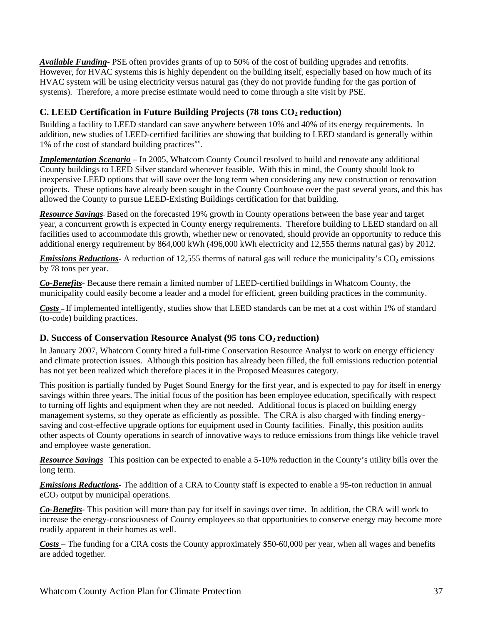*Available Funding-* PSE often provides grants of up to 50% of the cost of building upgrades and retrofits. However, for HVAC systems this is highly dependent on the building itself, especially based on how much of its HVAC system will be using electricity versus natural gas (they do not provide funding for the gas portion of systems). Therefore, a more precise estimate would need to come through a site visit by PSE.

### **C. LEED Certification in Future Building Projects (78 tons CO<sub>2</sub> reduction)**

Building a facility to LEED standard can save anywhere between 10% and 40% of its energy requirements. In addition, new studies of LEED-certified facilities are showing that building to LEED standard is generally within 1% of the cost of standard building practices $x^{\text{x}}$ .

*Implementation Scenario* – In 2005, Whatcom County Council resolved to build and renovate any additional County buildings to LEED Silver standard whenever feasible. With this in mind, the County should look to inexpensive LEED options that will save over the long term when considering any new construction or renovation projects. These options have already been sought in the County Courthouse over the past several years, and this has allowed the County to pursue LEED-Existing Buildings certification for that building.

*Resource Savings*- Based on the forecasted 19% growth in County operations between the base year and target year, a concurrent growth is expected in County energy requirements. Therefore building to LEED standard on all facilities used to accommodate this growth, whether new or renovated, should provide an opportunity to reduce this additional energy requirement by 864,000 kWh (496,000 kWh electricity and 12,555 therms natural gas) by 2012.

*Emissions Reductions*- A reduction of 12,555 therms of natural gas will reduce the municipality's  $CO<sub>2</sub>$  emissions by 78 tons per year.

*Co-Benefits-* Because there remain a limited number of LEED-certified buildings in Whatcom County, the municipality could easily become a leader and a model for efficient, green building practices in the community.

*Costs* – If implemented intelligently, studies show that LEED standards can be met at a cost within 1% of standard (to-code) building practices.

### **D. Success of Conservation Resource Analyst (95 tons CO<sub>2</sub> reduction)**

In January 2007, Whatcom County hired a full-time Conservation Resource Analyst to work on energy efficiency and climate protection issues. Although this position has already been filled, the full emissions reduction potential has not yet been realized which therefore places it in the Proposed Measures category.

This position is partially funded by Puget Sound Energy for the first year, and is expected to pay for itself in energy savings within three years. The initial focus of the position has been employee education, specifically with respect to turning off lights and equipment when they are not needed. Additional focus is placed on building energy management systems, so they operate as efficiently as possible. The CRA is also charged with finding energysaving and cost-effective upgrade options for equipment used in County facilities. Finally, this position audits other aspects of County operations in search of innovative ways to reduce emissions from things like vehicle travel and employee waste generation.

*Resource Savings* - This position can be expected to enable a 5-10% reduction in the County's utility bills over the long term.

*Emissions Reductions*- The addition of a CRA to County staff is expected to enable a 95-ton reduction in annual  $eCO<sub>2</sub>$  output by municipal operations.

*Co-Benefits-* This position will more than pay for itself in savings over time. In addition, the CRA will work to increase the energy-consciousness of County employees so that opportunities to conserve energy may become more readily apparent in their homes as well.

*Costs* – The funding for a CRA costs the County approximately \$50-60,000 per year, when all wages and benefits are added together.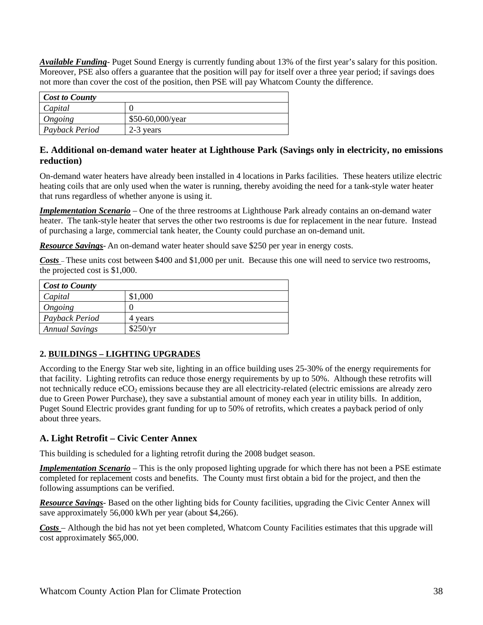*Available Funding-* Puget Sound Energy is currently funding about 13% of the first year's salary for this position. Moreover, PSE also offers a guarantee that the position will pay for itself over a three year period; if savings does not more than cover the cost of the position, then PSE will pay Whatcom County the difference.

| <b>Cost to County</b> |                          |
|-----------------------|--------------------------|
| Capital               |                          |
| Ongoing               | $$50-60,000/\text{year}$ |
| Payback Period        | 2-3 years                |

### **E. Additional on-demand water heater at Lighthouse Park (Savings only in electricity, no emissions reduction)**

On-demand water heaters have already been installed in 4 locations in Parks facilities. These heaters utilize electric heating coils that are only used when the water is running, thereby avoiding the need for a tank-style water heater that runs regardless of whether anyone is using it.

*Implementation Scenario* – One of the three restrooms at Lighthouse Park already contains an on-demand water heater. The tank-style heater that serves the other two restrooms is due for replacement in the near future. Instead of purchasing a large, commercial tank heater, the County could purchase an on-demand unit.

*Resource Savings*- An on-demand water heater should save \$250 per year in energy costs.

*Costs* – These units cost between \$400 and \$1,000 per unit. Because this one will need to service two restrooms, the projected cost is \$1,000.

| <b>Cost to County</b> |          |
|-----------------------|----------|
| Capital               | \$1,000  |
| Ongoing               |          |
| Payback Period        | 4 years  |
| <b>Annual Savings</b> | \$250/yr |

### **2. BUILDINGS – LIGHTING UPGRADES**

According to the Energy Star web site, lighting in an office building uses 25-30% of the energy requirements for that facility. Lighting retrofits can reduce those energy requirements by up to 50%. Although these retrofits will not technically reduce eCO<sub>2</sub> emissions because they are all electricity-related (electric emissions are already zero due to Green Power Purchase), they save a substantial amount of money each year in utility bills. In addition, Puget Sound Electric provides grant funding for up to 50% of retrofits, which creates a payback period of only about three years.

### **A. Light Retrofit – Civic Center Annex**

This building is scheduled for a lighting retrofit during the 2008 budget season.

*Implementation Scenario* – This is the only proposed lighting upgrade for which there has not been a PSE estimate completed for replacement costs and benefits. The County must first obtain a bid for the project, and then the following assumptions can be verified.

*Resource Savings*- Based on the other lighting bids for County facilities, upgrading the Civic Center Annex will save approximately 56,000 kWh per year (about \$4,266).

*Costs* – Although the bid has not yet been completed, Whatcom County Facilities estimates that this upgrade will cost approximately \$65,000.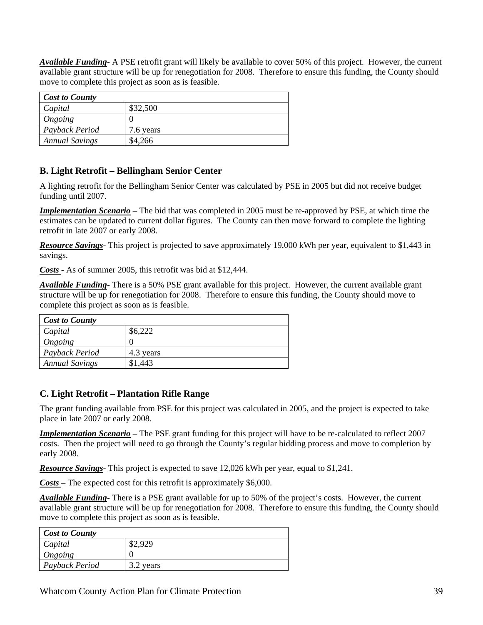*Available Funding-* A PSE retrofit grant will likely be available to cover 50% of this project. However, the current available grant structure will be up for renegotiation for 2008. Therefore to ensure this funding, the County should move to complete this project as soon as is feasible.

| <b>Cost to County</b> |           |
|-----------------------|-----------|
| Capital               | \$32,500  |
| Ongoing               |           |
| Payback Period        | 7.6 years |
| <b>Annual Savings</b> | \$4,266   |

### **B. Light Retrofit – Bellingham Senior Center**

A lighting retrofit for the Bellingham Senior Center was calculated by PSE in 2005 but did not receive budget funding until 2007.

*Implementation Scenario* – The bid that was completed in 2005 must be re-approved by PSE, at which time the estimates can be updated to current dollar figures. The County can then move forward to complete the lighting retrofit in late 2007 or early 2008.

*Resource Savings*- This project is projected to save approximately 19,000 kWh per year, equivalent to \$1,443 in savings.

*Costs* - As of summer 2005, this retrofit was bid at \$12,444.

*Available Funding-* There is a 50% PSE grant available for this project. However, the current available grant structure will be up for renegotiation for 2008. Therefore to ensure this funding, the County should move to complete this project as soon as is feasible.

| <b>Cost to County</b> |           |  |
|-----------------------|-----------|--|
| Capital               | \$6,222   |  |
| Ongoing               |           |  |
| Payback Period        | 4.3 years |  |
| <b>Annual Savings</b> | \$1,443   |  |

### **C. Light Retrofit – Plantation Rifle Range**

The grant funding available from PSE for this project was calculated in 2005, and the project is expected to take place in late 2007 or early 2008.

*Implementation Scenario* – The PSE grant funding for this project will have to be re-calculated to reflect 2007 costs. Then the project will need to go through the County's regular bidding process and move to completion by early 2008.

*Resource Savings*- This project is expected to save 12,026 kWh per year, equal to \$1,241.

*Costs* – The expected cost for this retrofit is approximately \$6,000.

*Available Funding-* There is a PSE grant available for up to 50% of the project's costs. However, the current available grant structure will be up for renegotiation for 2008. Therefore to ensure this funding, the County should move to complete this project as soon as is feasible.

| Cost to County |           |
|----------------|-----------|
| Capital        |           |
| Ongoing        |           |
| Payback Period | 3.2 years |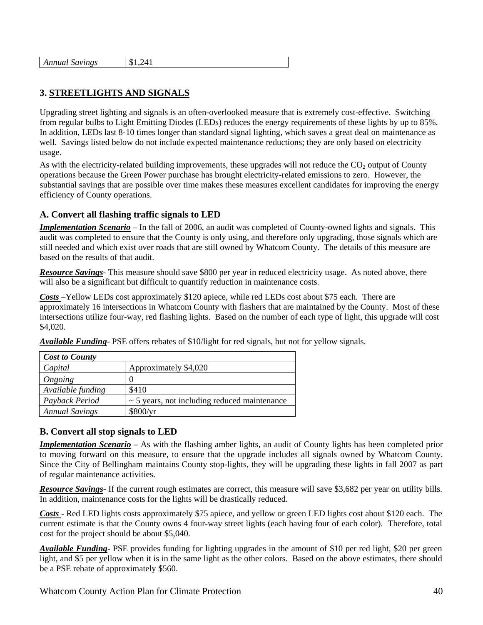| <b>Annual Savings</b> | \$1,241 |
|-----------------------|---------|
|-----------------------|---------|

### **3. STREETLIGHTS AND SIGNALS**

Upgrading street lighting and signals is an often-overlooked measure that is extremely cost-effective. Switching from regular bulbs to Light Emitting Diodes (LEDs) reduces the energy requirements of these lights by up to 85%. In addition, LEDs last 8-10 times longer than standard signal lighting, which saves a great deal on maintenance as well. Savings listed below do not include expected maintenance reductions; they are only based on electricity usage.

As with the electricity-related building improvements, these upgrades will not reduce the  $CO<sub>2</sub>$  output of County operations because the Green Power purchase has brought electricity-related emissions to zero. However, the substantial savings that are possible over time makes these measures excellent candidates for improving the energy efficiency of County operations.

### **A. Convert all flashing traffic signals to LED**

*Implementation Scenario* – In the fall of 2006, an audit was completed of County-owned lights and signals. This audit was completed to ensure that the County is only using, and therefore only upgrading, those signals which are still needed and which exist over roads that are still owned by Whatcom County. The details of this measure are based on the results of that audit.

*Resource Savings*- This measure should save \$800 per year in reduced electricity usage. As noted above, there will also be a significant but difficult to quantify reduction in maintenance costs.

*Costs* –Yellow LEDs cost approximately \$120 apiece, while red LEDs cost about \$75 each. There are approximately 16 intersections in Whatcom County with flashers that are maintained by the County. Most of these intersections utilize four-way, red flashing lights. Based on the number of each type of light, this upgrade will cost \$4,020.

| <b>Cost to County</b> |                                                   |
|-----------------------|---------------------------------------------------|
| Capital               | Approximately \$4,020                             |
| Ongoing               |                                                   |
| Available funding     | \$410                                             |
| Payback Period        | $\sim$ 5 years, not including reduced maintenance |
| <b>Annual Savings</b> | \$800/yr                                          |

*Available Funding-* PSE offers rebates of \$10/light for red signals, but not for yellow signals.

### **B. Convert all stop signals to LED**

*Implementation Scenario* – As with the flashing amber lights, an audit of County lights has been completed prior to moving forward on this measure, to ensure that the upgrade includes all signals owned by Whatcom County. Since the City of Bellingham maintains County stop-lights, they will be upgrading these lights in fall 2007 as part of regular maintenance activities.

*Resource Savings*- If the current rough estimates are correct, this measure will save \$3,682 per year on utility bills. In addition, maintenance costs for the lights will be drastically reduced.

*Costs* - Red LED lights costs approximately \$75 apiece, and yellow or green LED lights cost about \$120 each. The current estimate is that the County owns 4 four-way street lights (each having four of each color). Therefore, total cost for the project should be about \$5,040.

*Available Funding-* PSE provides funding for lighting upgrades in the amount of \$10 per red light, \$20 per green light, and \$5 per yellow when it is in the same light as the other colors. Based on the above estimates, there should be a PSE rebate of approximately \$560.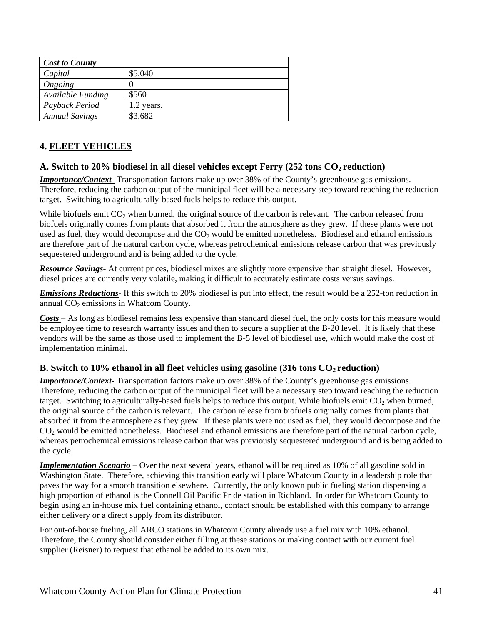| <b>Cost to County</b> |            |
|-----------------------|------------|
| Capital               | \$5,040    |
| Ongoing               |            |
| Available Funding     | \$560      |
| Payback Period        | 1.2 years. |
| <b>Annual Savings</b> | \$3,682    |

### **4. FLEET VEHICLES**

### A. Switch to 20% biodiesel in all diesel vehicles except Ferry (252 tons CO<sub>2</sub> reduction)

*Importance/Context-* Transportation factors make up over 38% of the County's greenhouse gas emissions. Therefore, reducing the carbon output of the municipal fleet will be a necessary step toward reaching the reduction target. Switching to agriculturally-based fuels helps to reduce this output.

While biofuels emit CO<sub>2</sub> when burned, the original source of the carbon is relevant. The carbon released from biofuels originally comes from plants that absorbed it from the atmosphere as they grew. If these plants were not used as fuel, they would decompose and the  $CO<sub>2</sub>$  would be emitted nonetheless. Biodiesel and ethanol emissions are therefore part of the natural carbon cycle, whereas petrochemical emissions release carbon that was previously sequestered underground and is being added to the cycle.

*Resource Savings*- At current prices, biodiesel mixes are slightly more expensive than straight diesel. However, diesel prices are currently very volatile, making it difficult to accurately estimate costs versus savings.

*Emissions Reductions*- If this switch to 20% biodiesel is put into effect, the result would be a 252-ton reduction in annual  $CO<sub>2</sub>$  emissions in Whatcom County.

*Costs* – As long as biodiesel remains less expensive than standard diesel fuel, the only costs for this measure would be employee time to research warranty issues and then to secure a supplier at the B-20 level. It is likely that these vendors will be the same as those used to implement the B-5 level of biodiesel use, which would make the cost of implementation minimal.

### **B.** Switch to 10% ethanol in all fleet vehicles using gasoline (316 tons  $CO_2$  reduction)

*Importance/Context-* Transportation factors make up over 38% of the County's greenhouse gas emissions. Therefore, reducing the carbon output of the municipal fleet will be a necessary step toward reaching the reduction target. Switching to agriculturally-based fuels helps to reduce this output. While biofuels emit  $CO<sub>2</sub>$  when burned, the original source of the carbon is relevant. The carbon release from biofuels originally comes from plants that absorbed it from the atmosphere as they grew. If these plants were not used as fuel, they would decompose and the CO<sub>2</sub> would be emitted nonetheless. Biodiesel and ethanol emissions are therefore part of the natural carbon cycle, whereas petrochemical emissions release carbon that was previously sequestered underground and is being added to the cycle.

*Implementation Scenario* – Over the next several years, ethanol will be required as 10% of all gasoline sold in Washington State. Therefore, achieving this transition early will place Whatcom County in a leadership role that paves the way for a smooth transition elsewhere. Currently, the only known public fueling station dispensing a high proportion of ethanol is the Connell Oil Pacific Pride station in Richland. In order for Whatcom County to begin using an in-house mix fuel containing ethanol, contact should be established with this company to arrange either delivery or a direct supply from its distributor.

For out-of-house fueling, all ARCO stations in Whatcom County already use a fuel mix with 10% ethanol. Therefore, the County should consider either filling at these stations or making contact with our current fuel supplier (Reisner) to request that ethanol be added to its own mix.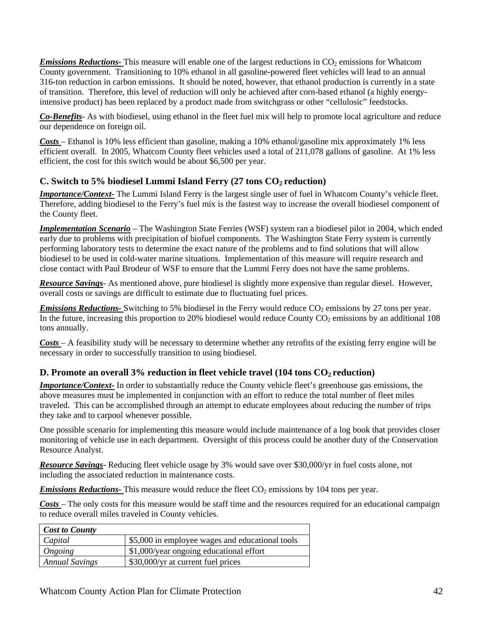*Emissions Reductions-* This measure will enable one of the largest reductions in  $CO<sub>2</sub>$  emissions for Whatcom County government. Transitioning to 10% ethanol in all gasoline-powered fleet vehicles will lead to an annual 316-ton reduction in carbon emissions. It should be noted, however, that ethanol production is currently in a state of transition. Therefore, this level of reduction will only be achieved after corn-based ethanol (a highly energyintensive product) has been replaced by a product made from switchgrass or other "cellulosic" feedstocks.

*Co-Benefits-* As with biodiesel, using ethanol in the fleet fuel mix will help to promote local agriculture and reduce our dependence on foreign oil.

*Costs* – Ethanol is 10% less efficient than gasoline, making a 10% ethanol/gasoline mix approximately 1% less efficient overall. In 2005, Whatcom County fleet vehicles used a total of 211,078 gallons of gasoline. At 1% less efficient, the cost for this switch would be about \$6,500 per year.

### **C. Switch to 5% biodiesel Lummi Island Ferry (27 tons CO<sub>2</sub> reduction)**

*Importance/Context-* The Lummi Island Ferry is the largest single user of fuel in Whatcom County's vehicle fleet. Therefore, adding biodiesel to the Ferry's fuel mix is the fastest way to increase the overall biodiesel component of the County fleet.

*Implementation Scenario* – The Washington State Ferries (WSF) system ran a biodiesel pilot in 2004, which ended early due to problems with precipitation of biofuel components. The Washington State Ferry system is currently performing laboratory tests to determine the exact nature of the problems and to find solutions that will allow biodiesel to be used in cold-water marine situations. Implementation of this measure will require research and close contact with Paul Brodeur of WSF to ensure that the Lummi Ferry does not have the same problems.

*Resource Savings*- As mentioned above, pure biodiesel is slightly more expensive than regular diesel. However, overall costs or savings are difficult to estimate due to fluctuating fuel prices.

*Emissions Reductions*- Switching to 5% biodiesel in the Ferry would reduce CO<sub>2</sub> emissions by 27 tons per year. In the future, increasing this proportion to 20% biodiesel would reduce County  $CO<sub>2</sub>$  emissions by an additional 108 tons annually.

*Costs* – A feasibility study will be necessary to determine whether any retrofits of the existing ferry engine will be necessary in order to successfully transition to using biodiesel.

### **D. Promote an overall 3% reduction in fleet vehicle travel (104 tons CO<sub>2</sub> reduction)**

*Importance/Context-* In order to substantially reduce the County vehicle fleet's greenhouse gas emissions, the above measures must be implemented in conjunction with an effort to reduce the total number of fleet miles traveled. This can be accomplished through an attempt to educate employees about reducing the number of trips they take and to carpool whenever possible.

One possible scenario for implementing this measure would include maintenance of a log book that provides closer monitoring of vehicle use in each department. Oversight of this process could be another duty of the Conservation Resource Analyst.

*Resource Savings*- Reducing fleet vehicle usage by 3% would save over \$30,000/yr in fuel costs alone, not including the associated reduction in maintenance costs.

*Emissions Reductions-* This measure would reduce the fleet CO<sub>2</sub> emissions by 104 tons per year.

*Costs* – The only costs for this measure would be staff time and the resources required for an educational campaign to reduce overall miles traveled in County vehicles.

| <b>Cost to County</b> |                                                 |
|-----------------------|-------------------------------------------------|
| Capital               | \$5,000 in employee wages and educational tools |
| Ongoing               | \$1,000/year ongoing educational effort         |
| <b>Annual Savings</b> | \$30,000/yr at current fuel prices              |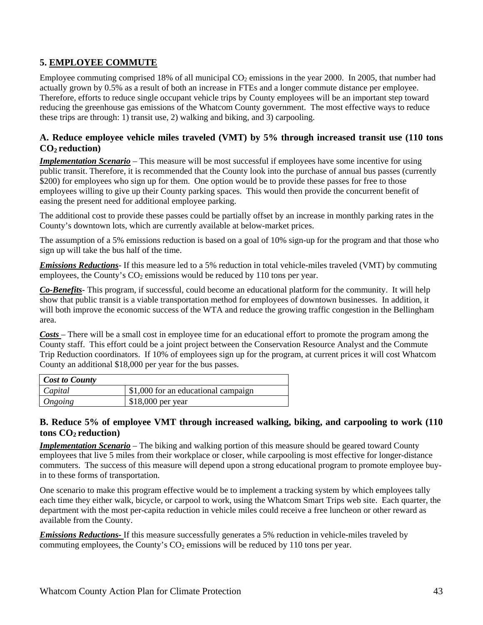### **5. EMPLOYEE COMMUTE**

Employee commuting comprised 18% of all municipal  $CO<sub>2</sub>$  emissions in the year 2000. In 2005, that number had actually grown by 0.5% as a result of both an increase in FTEs and a longer commute distance per employee. Therefore, efforts to reduce single occupant vehicle trips by County employees will be an important step toward reducing the greenhouse gas emissions of the Whatcom County government. The most effective ways to reduce these trips are through: 1) transit use, 2) walking and biking, and 3) carpooling.

#### **A. Reduce employee vehicle miles traveled (VMT) by 5% through increased transit use (110 tons**  CO<sub>2</sub> reduction)

*Implementation Scenario* – This measure will be most successful if employees have some incentive for using public transit. Therefore, it is recommended that the County look into the purchase of annual bus passes (currently \$200) for employees who sign up for them. One option would be to provide these passes for free to those employees willing to give up their County parking spaces. This would then provide the concurrent benefit of easing the present need for additional employee parking.

The additional cost to provide these passes could be partially offset by an increase in monthly parking rates in the County's downtown lots, which are currently available at below-market prices.

The assumption of a 5% emissions reduction is based on a goal of 10% sign-up for the program and that those who sign up will take the bus half of the time.

*Emissions Reductions*- If this measure led to a 5% reduction in total vehicle-miles traveled (VMT) by commuting employees, the County's  $CO<sub>2</sub>$  emissions would be reduced by 110 tons per year.

*Co-Benefits-* This program, if successful, could become an educational platform for the community. It will help show that public transit is a viable transportation method for employees of downtown businesses. In addition, it will both improve the economic success of the WTA and reduce the growing traffic congestion in the Bellingham area.

*Costs* – There will be a small cost in employee time for an educational effort to promote the program among the County staff. This effort could be a joint project between the Conservation Resource Analyst and the Commute Trip Reduction coordinators. If 10% of employees sign up for the program, at current prices it will cost Whatcom County an additional \$18,000 per year for the bus passes.

| <b>Cost to County</b> |                                     |  |  |
|-----------------------|-------------------------------------|--|--|
| Capital               | \$1,000 for an educational campaign |  |  |
| Ongoing               | $$18,000$ per year                  |  |  |

#### **B. Reduce 5% of employee VMT through increased walking, biking, and carpooling to work (110**  tons  $CO<sub>2</sub>$  reduction)

*Implementation Scenario* – The biking and walking portion of this measure should be geared toward County employees that live 5 miles from their workplace or closer, while carpooling is most effective for longer-distance commuters. The success of this measure will depend upon a strong educational program to promote employee buyin to these forms of transportation.

One scenario to make this program effective would be to implement a tracking system by which employees tally each time they either walk, bicycle, or carpool to work, using the Whatcom Smart Trips web site. Each quarter, the department with the most per-capita reduction in vehicle miles could receive a free luncheon or other reward as available from the County.

*Emissions Reductions*- If this measure successfully generates a 5% reduction in vehicle-miles traveled by commuting employees, the County's  $CO<sub>2</sub>$  emissions will be reduced by 110 tons per year.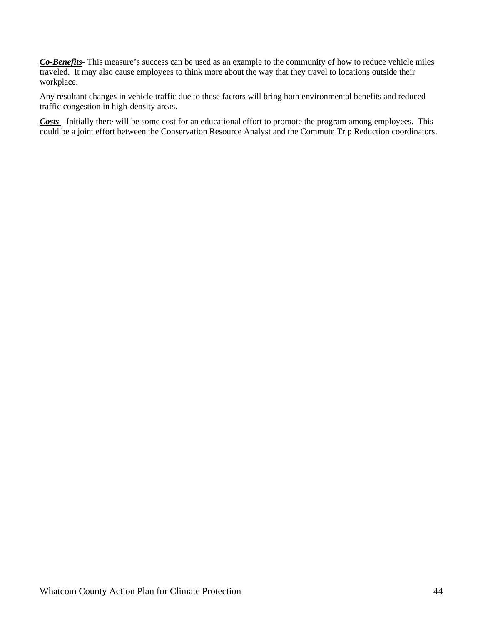*Co-Benefits-* This measure's success can be used as an example to the community of how to reduce vehicle miles traveled. It may also cause employees to think more about the way that they travel to locations outside their workplace.

Any resultant changes in vehicle traffic due to these factors will bring both environmental benefits and reduced traffic congestion in high-density areas.

*Costs* - Initially there will be some cost for an educational effort to promote the program among employees. This could be a joint effort between the Conservation Resource Analyst and the Commute Trip Reduction coordinators.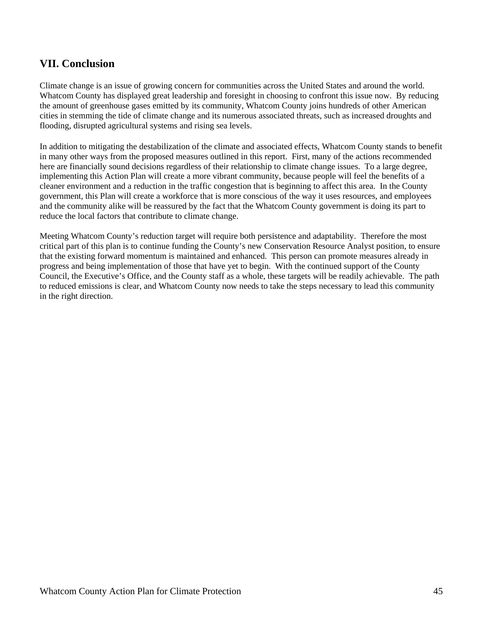### **VII. Conclusion**

Climate change is an issue of growing concern for communities across the United States and around the world. Whatcom County has displayed great leadership and foresight in choosing to confront this issue now. By reducing the amount of greenhouse gases emitted by its community, Whatcom County joins hundreds of other American cities in stemming the tide of climate change and its numerous associated threats, such as increased droughts and flooding, disrupted agricultural systems and rising sea levels.

In addition to mitigating the destabilization of the climate and associated effects, Whatcom County stands to benefit in many other ways from the proposed measures outlined in this report. First, many of the actions recommended here are financially sound decisions regardless of their relationship to climate change issues. To a large degree, implementing this Action Plan will create a more vibrant community, because people will feel the benefits of a cleaner environment and a reduction in the traffic congestion that is beginning to affect this area. In the County government, this Plan will create a workforce that is more conscious of the way it uses resources, and employees and the community alike will be reassured by the fact that the Whatcom County government is doing its part to reduce the local factors that contribute to climate change.

Meeting Whatcom County's reduction target will require both persistence and adaptability. Therefore the most critical part of this plan is to continue funding the County's new Conservation Resource Analyst position, to ensure that the existing forward momentum is maintained and enhanced. This person can promote measures already in progress and being implementation of those that have yet to begin. With the continued support of the County Council, the Executive's Office, and the County staff as a whole, these targets will be readily achievable. The path to reduced emissions is clear, and Whatcom County now needs to take the steps necessary to lead this community in the right direction.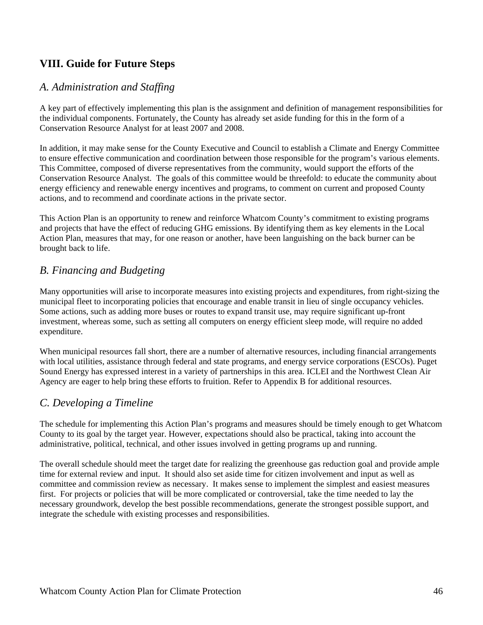## **VIII. Guide for Future Steps**

### *A. Administration and Staffing*

A key part of effectively implementing this plan is the assignment and definition of management responsibilities for the individual components. Fortunately, the County has already set aside funding for this in the form of a Conservation Resource Analyst for at least 2007 and 2008.

In addition, it may make sense for the County Executive and Council to establish a Climate and Energy Committee to ensure effective communication and coordination between those responsible for the program's various elements. This Committee, composed of diverse representatives from the community, would support the efforts of the Conservation Resource Analyst. The goals of this committee would be threefold: to educate the community about energy efficiency and renewable energy incentives and programs, to comment on current and proposed County actions, and to recommend and coordinate actions in the private sector.

This Action Plan is an opportunity to renew and reinforce Whatcom County's commitment to existing programs and projects that have the effect of reducing GHG emissions. By identifying them as key elements in the Local Action Plan, measures that may, for one reason or another, have been languishing on the back burner can be brought back to life.

### *B. Financing and Budgeting*

Many opportunities will arise to incorporate measures into existing projects and expenditures, from right-sizing the municipal fleet to incorporating policies that encourage and enable transit in lieu of single occupancy vehicles. Some actions, such as adding more buses or routes to expand transit use, may require significant up-front investment, whereas some, such as setting all computers on energy efficient sleep mode, will require no added expenditure.

When municipal resources fall short, there are a number of alternative resources, including financial arrangements with local utilities, assistance through federal and state programs, and energy service corporations (ESCOs). Puget Sound Energy has expressed interest in a variety of partnerships in this area. ICLEI and the Northwest Clean Air Agency are eager to help bring these efforts to fruition. Refer to Appendix B for additional resources.

### *C. Developing a Timeline*

The schedule for implementing this Action Plan's programs and measures should be timely enough to get Whatcom County to its goal by the target year. However, expectations should also be practical, taking into account the administrative, political, technical, and other issues involved in getting programs up and running.

The overall schedule should meet the target date for realizing the greenhouse gas reduction goal and provide ample time for external review and input. It should also set aside time for citizen involvement and input as well as committee and commission review as necessary. It makes sense to implement the simplest and easiest measures first. For projects or policies that will be more complicated or controversial, take the time needed to lay the necessary groundwork, develop the best possible recommendations, generate the strongest possible support, and integrate the schedule with existing processes and responsibilities.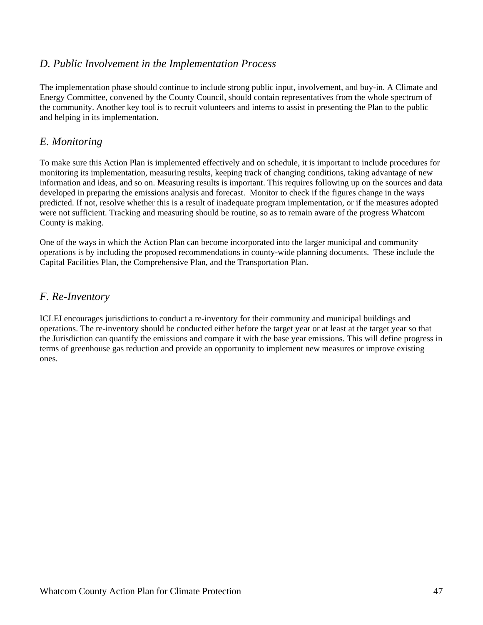### *D. Public Involvement in the Implementation Process*

The implementation phase should continue to include strong public input, involvement, and buy-in. A Climate and Energy Committee, convened by the County Council, should contain representatives from the whole spectrum of the community. Another key tool is to recruit volunteers and interns to assist in presenting the Plan to the public and helping in its implementation.

### *E. Monitoring*

To make sure this Action Plan is implemented effectively and on schedule, it is important to include procedures for monitoring its implementation, measuring results, keeping track of changing conditions, taking advantage of new information and ideas, and so on. Measuring results is important. This requires following up on the sources and data developed in preparing the emissions analysis and forecast. Monitor to check if the figures change in the ways predicted. If not, resolve whether this is a result of inadequate program implementation, or if the measures adopted were not sufficient. Tracking and measuring should be routine, so as to remain aware of the progress Whatcom County is making.

One of the ways in which the Action Plan can become incorporated into the larger municipal and community operations is by including the proposed recommendations in county-wide planning documents. These include the Capital Facilities Plan, the Comprehensive Plan, and the Transportation Plan.

### *F. Re-Inventory*

ICLEI encourages jurisdictions to conduct a re-inventory for their community and municipal buildings and operations. The re-inventory should be conducted either before the target year or at least at the target year so that the Jurisdiction can quantify the emissions and compare it with the base year emissions. This will define progress in terms of greenhouse gas reduction and provide an opportunity to implement new measures or improve existing ones.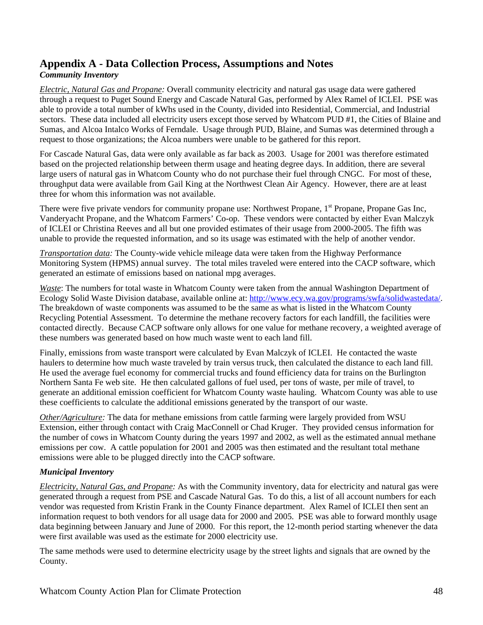## **Appendix A - Data Collection Process, Assumptions and Notes**

### *Community Inventory*

*Electric, Natural Gas and Propane:* Overall community electricity and natural gas usage data were gathered through a request to Puget Sound Energy and Cascade Natural Gas, performed by Alex Ramel of ICLEI. PSE was able to provide a total number of kWhs used in the County, divided into Residential, Commercial, and Industrial sectors. These data included all electricity users except those served by Whatcom PUD #1, the Cities of Blaine and Sumas, and Alcoa Intalco Works of Ferndale. Usage through PUD, Blaine, and Sumas was determined through a request to those organizations; the Alcoa numbers were unable to be gathered for this report.

For Cascade Natural Gas, data were only available as far back as 2003. Usage for 2001 was therefore estimated based on the projected relationship between therm usage and heating degree days. In addition, there are several large users of natural gas in Whatcom County who do not purchase their fuel through CNGC. For most of these, throughput data were available from Gail King at the Northwest Clean Air Agency. However, there are at least three for whom this information was not available.

There were five private vendors for community propane use: Northwest Propane, 1<sup>st</sup> Propane, Propane Gas Inc, Vanderyacht Propane, and the Whatcom Farmers' Co-op. These vendors were contacted by either Evan Malczyk of ICLEI or Christina Reeves and all but one provided estimates of their usage from 2000-2005. The fifth was unable to provide the requested information, and so its usage was estimated with the help of another vendor.

*Transportation data:* The County-wide vehicle mileage data were taken from the Highway Performance Monitoring System (HPMS) annual survey. The total miles traveled were entered into the CACP software, which generated an estimate of emissions based on national mpg averages.

*Waste*: The numbers for total waste in Whatcom County were taken from the annual Washington Department of Ecology Solid Waste Division database, available online at: http://www.ecy.wa.gov/programs/swfa/solidwastedata/. The breakdown of waste components was assumed to be the same as what is listed in the Whatcom County Recycling Potential Assessment. To determine the methane recovery factors for each landfill, the facilities were contacted directly. Because CACP software only allows for one value for methane recovery, a weighted average of these numbers was generated based on how much waste went to each land fill.

Finally, emissions from waste transport were calculated by Evan Malczyk of ICLEI. He contacted the waste haulers to determine how much waste traveled by train versus truck, then calculated the distance to each land fill. He used the average fuel economy for commercial trucks and found efficiency data for trains on the Burlington Northern Santa Fe web site. He then calculated gallons of fuel used, per tons of waste, per mile of travel, to generate an additional emission coefficient for Whatcom County waste hauling. Whatcom County was able to use these coefficients to calculate the additional emissions generated by the transport of our waste.

*Other/Agriculture:* The data for methane emissions from cattle farming were largely provided from WSU Extension, either through contact with Craig MacConnell or Chad Kruger. They provided census information for the number of cows in Whatcom County during the years 1997 and 2002, as well as the estimated annual methane emissions per cow. A cattle population for 2001 and 2005 was then estimated and the resultant total methane emissions were able to be plugged directly into the CACP software.

#### *Municipal Inventory*

*Electricity, Natural Gas, and Propane:* As with the Community inventory, data for electricity and natural gas were generated through a request from PSE and Cascade Natural Gas. To do this, a list of all account numbers for each vendor was requested from Kristin Frank in the County Finance department. Alex Ramel of ICLEI then sent an information request to both vendors for all usage data for 2000 and 2005. PSE was able to forward monthly usage data beginning between January and June of 2000. For this report, the 12-month period starting whenever the data were first available was used as the estimate for 2000 electricity use.

The same methods were used to determine electricity usage by the street lights and signals that are owned by the County.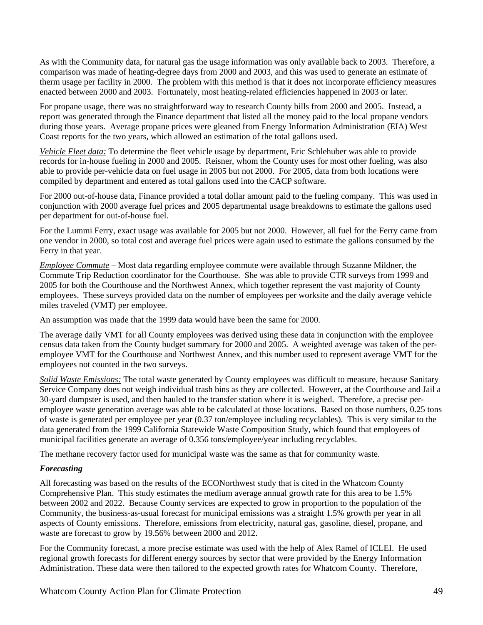As with the Community data, for natural gas the usage information was only available back to 2003. Therefore, a comparison was made of heating-degree days from 2000 and 2003, and this was used to generate an estimate of therm usage per facility in 2000. The problem with this method is that it does not incorporate efficiency measures enacted between 2000 and 2003. Fortunately, most heating-related efficiencies happened in 2003 or later.

For propane usage, there was no straightforward way to research County bills from 2000 and 2005. Instead, a report was generated through the Finance department that listed all the money paid to the local propane vendors during those years. Average propane prices were gleaned from Energy Information Administration (EIA) West Coast reports for the two years, which allowed an estimation of the total gallons used.

*Vehicle Fleet data:* To determine the fleet vehicle usage by department, Eric Schlehuber was able to provide records for in-house fueling in 2000 and 2005. Reisner, whom the County uses for most other fueling, was also able to provide per-vehicle data on fuel usage in 2005 but not 2000. For 2005, data from both locations were compiled by department and entered as total gallons used into the CACP software.

For 2000 out-of-house data, Finance provided a total dollar amount paid to the fueling company. This was used in conjunction with 2000 average fuel prices and 2005 departmental usage breakdowns to estimate the gallons used per department for out-of-house fuel.

For the Lummi Ferry, exact usage was available for 2005 but not 2000. However, all fuel for the Ferry came from one vendor in 2000, so total cost and average fuel prices were again used to estimate the gallons consumed by the Ferry in that year.

*Employee Commute* – Most data regarding employee commute were available through Suzanne Mildner, the Commute Trip Reduction coordinator for the Courthouse. She was able to provide CTR surveys from 1999 and 2005 for both the Courthouse and the Northwest Annex, which together represent the vast majority of County employees. These surveys provided data on the number of employees per worksite and the daily average vehicle miles traveled (VMT) per employee.

An assumption was made that the 1999 data would have been the same for 2000.

The average daily VMT for all County employees was derived using these data in conjunction with the employee census data taken from the County budget summary for 2000 and 2005. A weighted average was taken of the peremployee VMT for the Courthouse and Northwest Annex, and this number used to represent average VMT for the employees not counted in the two surveys.

*Solid Waste Emissions:* The total waste generated by County employees was difficult to measure, because Sanitary Service Company does not weigh individual trash bins as they are collected. However, at the Courthouse and Jail a 30-yard dumpster is used, and then hauled to the transfer station where it is weighed. Therefore, a precise peremployee waste generation average was able to be calculated at those locations. Based on those numbers, 0.25 tons of waste is generated per employee per year (0.37 ton/employee including recyclables). This is very similar to the data generated from the 1999 California Statewide Waste Composition Study, which found that employees of municipal facilities generate an average of 0.356 tons/employee/year including recyclables.

The methane recovery factor used for municipal waste was the same as that for community waste.

#### *Forecasting*

All forecasting was based on the results of the ECONorthwest study that is cited in the Whatcom County Comprehensive Plan. This study estimates the medium average annual growth rate for this area to be 1.5% between 2002 and 2022. Because County services are expected to grow in proportion to the population of the Community, the business-as-usual forecast for municipal emissions was a straight 1.5% growth per year in all aspects of County emissions. Therefore, emissions from electricity, natural gas, gasoline, diesel, propane, and waste are forecast to grow by 19.56% between 2000 and 2012.

For the Community forecast, a more precise estimate was used with the help of Alex Ramel of ICLEI. He used regional growth forecasts for different energy sources by sector that were provided by the Energy Information Administration. These data were then tailored to the expected growth rates for Whatcom County. Therefore,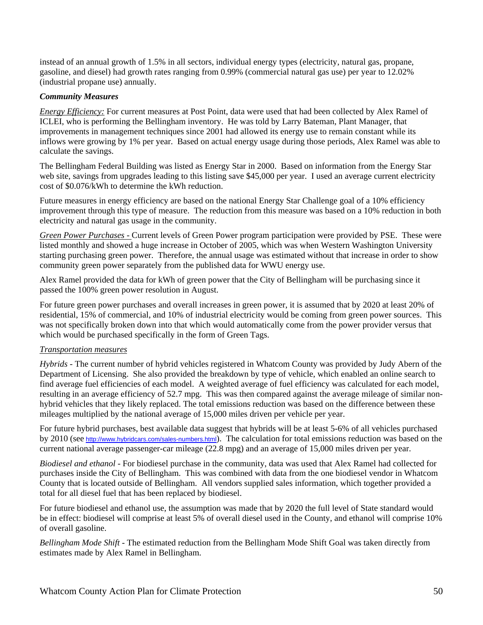instead of an annual growth of 1.5% in all sectors, individual energy types (electricity, natural gas, propane, gasoline, and diesel) had growth rates ranging from 0.99% (commercial natural gas use) per year to 12.02% (industrial propane use) annually.

#### *Community Measures*

*Energy Efficiency:* For current measures at Post Point, data were used that had been collected by Alex Ramel of ICLEI, who is performing the Bellingham inventory. He was told by Larry Bateman, Plant Manager, that improvements in management techniques since 2001 had allowed its energy use to remain constant while its inflows were growing by 1% per year. Based on actual energy usage during those periods, Alex Ramel was able to calculate the savings.

The Bellingham Federal Building was listed as Energy Star in 2000. Based on information from the Energy Star web site, savings from upgrades leading to this listing save \$45,000 per year. I used an average current electricity cost of \$0.076/kWh to determine the kWh reduction.

Future measures in energy efficiency are based on the national Energy Star Challenge goal of a 10% efficiency improvement through this type of measure. The reduction from this measure was based on a 10% reduction in both electricity and natural gas usage in the community.

*Green Power Purchases -* Current levels of Green Power program participation were provided by PSE. These were listed monthly and showed a huge increase in October of 2005, which was when Western Washington University starting purchasing green power. Therefore, the annual usage was estimated without that increase in order to show community green power separately from the published data for WWU energy use.

Alex Ramel provided the data for kWh of green power that the City of Bellingham will be purchasing since it passed the 100% green power resolution in August.

For future green power purchases and overall increases in green power, it is assumed that by 2020 at least 20% of residential, 15% of commercial, and 10% of industrial electricity would be coming from green power sources. This was not specifically broken down into that which would automatically come from the power provider versus that which would be purchased specifically in the form of Green Tags.

#### *Transportation measures*

*Hybrids -* The current number of hybrid vehicles registered in Whatcom County was provided by Judy Abern of the Department of Licensing. She also provided the breakdown by type of vehicle, which enabled an online search to find average fuel efficiencies of each model. A weighted average of fuel efficiency was calculated for each model, resulting in an average efficiency of 52.7 mpg. This was then compared against the average mileage of similar nonhybrid vehicles that they likely replaced. The total emissions reduction was based on the difference between these mileages multiplied by the national average of 15,000 miles driven per vehicle per year.

For future hybrid purchases, best available data suggest that hybrids will be at least 5-6% of all vehicles purchased by 2010 (see http://www.hybridcars.com/sales-numbers.html). The calculation for total emissions reduction was based on the current national average passenger-car mileage (22.8 mpg) and an average of 15,000 miles driven per year.

*Biodiesel and ethanol -* For biodiesel purchase in the community, data was used that Alex Ramel had collected for purchases inside the City of Bellingham. This was combined with data from the one biodiesel vendor in Whatcom County that is located outside of Bellingham. All vendors supplied sales information, which together provided a total for all diesel fuel that has been replaced by biodiesel.

For future biodiesel and ethanol use, the assumption was made that by 2020 the full level of State standard would be in effect: biodiesel will comprise at least 5% of overall diesel used in the County, and ethanol will comprise 10% of overall gasoline.

*Bellingham Mode Shift -* The estimated reduction from the Bellingham Mode Shift Goal was taken directly from estimates made by Alex Ramel in Bellingham.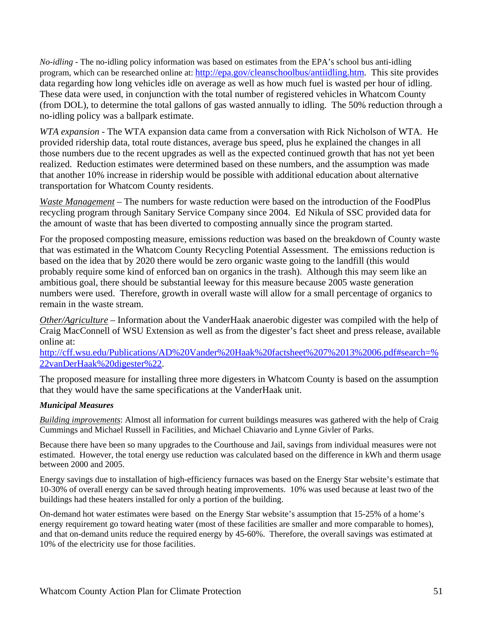*No-idling -* The no-idling policy information was based on estimates from the EPA's school bus anti-idling program, which can be researched online at: http://epa.gov/cleanschoolbus/antiidling.htm. This site provides data regarding how long vehicles idle on average as well as how much fuel is wasted per hour of idling. These data were used, in conjunction with the total number of registered vehicles in Whatcom County (from DOL), to determine the total gallons of gas wasted annually to idling. The 50% reduction through a no-idling policy was a ballpark estimate.

*WTA expansion* - The WTA expansion data came from a conversation with Rick Nicholson of WTA. He provided ridership data, total route distances, average bus speed, plus he explained the changes in all those numbers due to the recent upgrades as well as the expected continued growth that has not yet been realized. Reduction estimates were determined based on these numbers, and the assumption was made that another 10% increase in ridership would be possible with additional education about alternative transportation for Whatcom County residents.

*Waste Management* – The numbers for waste reduction were based on the introduction of the FoodPlus recycling program through Sanitary Service Company since 2004. Ed Nikula of SSC provided data for the amount of waste that has been diverted to composting annually since the program started.

For the proposed composting measure, emissions reduction was based on the breakdown of County waste that was estimated in the Whatcom County Recycling Potential Assessment. The emissions reduction is based on the idea that by 2020 there would be zero organic waste going to the landfill (this would probably require some kind of enforced ban on organics in the trash). Although this may seem like an ambitious goal, there should be substantial leeway for this measure because 2005 waste generation numbers were used. Therefore, growth in overall waste will allow for a small percentage of organics to remain in the waste stream.

*Other/Agriculture* – Information about the VanderHaak anaerobic digester was compiled with the help of Craig MacConnell of WSU Extension as well as from the digester's fact sheet and press release, available online at:

http://cff.wsu.edu/Publications/AD%20Vander%20Haak%20factsheet%207%2013%2006.pdf#search=% 22vanDerHaak%20digester%22.

The proposed measure for installing three more digesters in Whatcom County is based on the assumption that they would have the same specifications at the VanderHaak unit.

#### *Municipal Measures*

*Building improvements*: Almost all information for current buildings measures was gathered with the help of Craig Cummings and Michael Russell in Facilities, and Michael Chiavario and Lynne Givler of Parks.

Because there have been so many upgrades to the Courthouse and Jail, savings from individual measures were not estimated. However, the total energy use reduction was calculated based on the difference in kWh and therm usage between 2000 and 2005.

Energy savings due to installation of high-efficiency furnaces was based on the Energy Star website's estimate that 10-30% of overall energy can be saved through heating improvements. 10% was used because at least two of the buildings had these heaters installed for only a portion of the building.

On-demand hot water estimates were based on the Energy Star website's assumption that 15-25% of a home's energy requirement go toward heating water (most of these facilities are smaller and more comparable to homes), and that on-demand units reduce the required energy by 45-60%. Therefore, the overall savings was estimated at 10% of the electricity use for those facilities.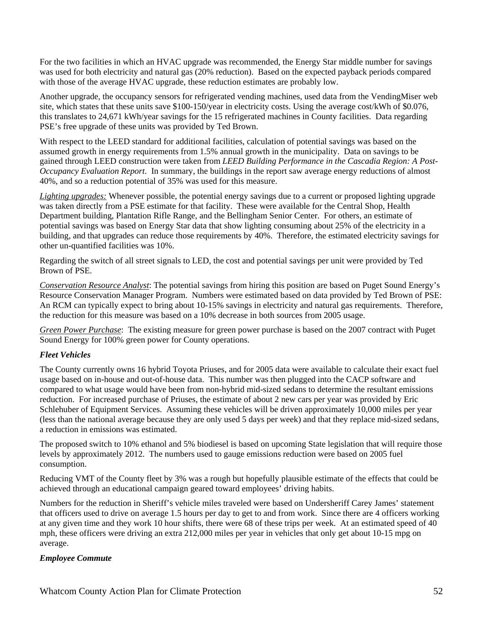For the two facilities in which an HVAC upgrade was recommended, the Energy Star middle number for savings was used for both electricity and natural gas (20% reduction). Based on the expected payback periods compared with those of the average HVAC upgrade, these reduction estimates are probably low.

Another upgrade, the occupancy sensors for refrigerated vending machines, used data from the VendingMiser web site, which states that these units save \$100-150/year in electricity costs. Using the average cost/kWh of \$0.076, this translates to 24,671 kWh/year savings for the 15 refrigerated machines in County facilities. Data regarding PSE's free upgrade of these units was provided by Ted Brown.

With respect to the LEED standard for additional facilities, calculation of potential savings was based on the assumed growth in energy requirements from 1.5% annual growth in the municipality. Data on savings to be gained through LEED construction were taken from *LEED Building Performance in the Cascadia Region: A Post-Occupancy Evaluation Report*. In summary, the buildings in the report saw average energy reductions of almost 40%, and so a reduction potential of 35% was used for this measure.

*Lighting upgrades:* Whenever possible, the potential energy savings due to a current or proposed lighting upgrade was taken directly from a PSE estimate for that facility. These were available for the Central Shop, Health Department building, Plantation Rifle Range, and the Bellingham Senior Center. For others, an estimate of potential savings was based on Energy Star data that show lighting consuming about 25% of the electricity in a building, and that upgrades can reduce those requirements by 40%. Therefore, the estimated electricity savings for other un-quantified facilities was 10%.

Regarding the switch of all street signals to LED, the cost and potential savings per unit were provided by Ted Brown of PSE.

*Conservation Resource Analyst*: The potential savings from hiring this position are based on Puget Sound Energy's Resource Conservation Manager Program. Numbers were estimated based on data provided by Ted Brown of PSE: An RCM can typically expect to bring about 10-15% savings in electricity and natural gas requirements. Therefore, the reduction for this measure was based on a 10% decrease in both sources from 2005 usage.

*Green Power Purchase*: The existing measure for green power purchase is based on the 2007 contract with Puget Sound Energy for 100% green power for County operations.

#### *Fleet Vehicles*

The County currently owns 16 hybrid Toyota Priuses, and for 2005 data were available to calculate their exact fuel usage based on in-house and out-of-house data. This number was then plugged into the CACP software and compared to what usage would have been from non-hybrid mid-sized sedans to determine the resultant emissions reduction. For increased purchase of Priuses, the estimate of about 2 new cars per year was provided by Eric Schlehuber of Equipment Services. Assuming these vehicles will be driven approximately 10,000 miles per year (less than the national average because they are only used 5 days per week) and that they replace mid-sized sedans, a reduction in emissions was estimated.

The proposed switch to 10% ethanol and 5% biodiesel is based on upcoming State legislation that will require those levels by approximately 2012. The numbers used to gauge emissions reduction were based on 2005 fuel consumption.

Reducing VMT of the County fleet by 3% was a rough but hopefully plausible estimate of the effects that could be achieved through an educational campaign geared toward employees' driving habits.

Numbers for the reduction in Sheriff's vehicle miles traveled were based on Undersheriff Carey James' statement that officers used to drive on average 1.5 hours per day to get to and from work. Since there are 4 officers working at any given time and they work 10 hour shifts, there were 68 of these trips per week. At an estimated speed of 40 mph, these officers were driving an extra 212,000 miles per year in vehicles that only get about 10-15 mpg on average.

#### *Employee Commute*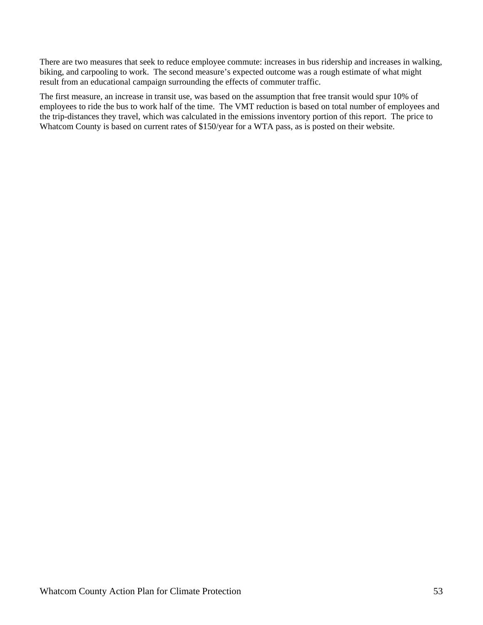There are two measures that seek to reduce employee commute: increases in bus ridership and increases in walking, biking, and carpooling to work. The second measure's expected outcome was a rough estimate of what might result from an educational campaign surrounding the effects of commuter traffic.

The first measure, an increase in transit use, was based on the assumption that free transit would spur 10% of employees to ride the bus to work half of the time. The VMT reduction is based on total number of employees and the trip-distances they travel, which was calculated in the emissions inventory portion of this report. The price to Whatcom County is based on current rates of \$150/year for a WTA pass, as is posted on their website.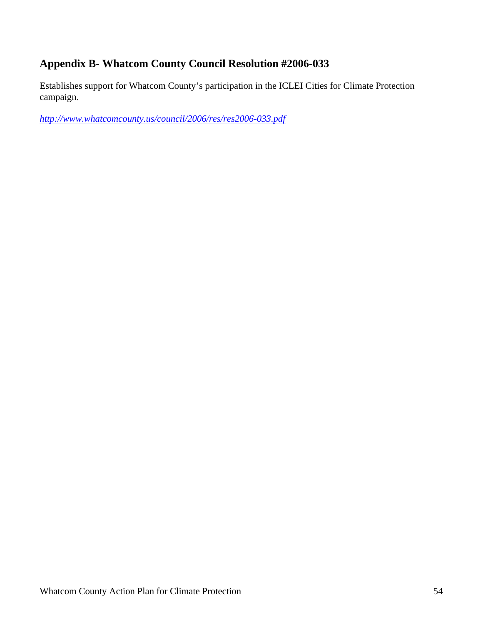## **Appendix B- Whatcom County Council Resolution #2006-033**

Establishes support for Whatcom County's participation in the ICLEI Cities for Climate Protection campaign.

*http://www.whatcomcounty.us/council/2006/res/res2006-033.pdf*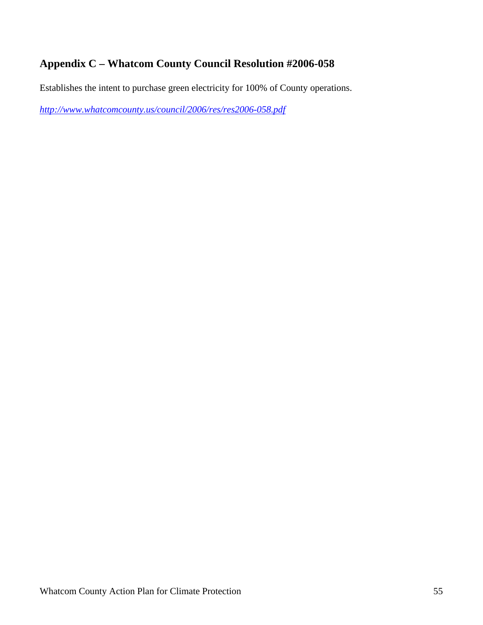## **Appendix C – Whatcom County Council Resolution #2006-058**

Establishes the intent to purchase green electricity for 100% of County operations.

*http://www.whatcomcounty.us/council/2006/res/res2006-058.pdf*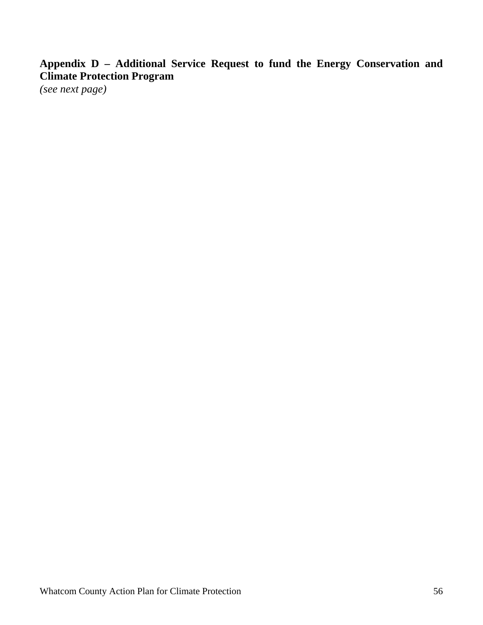**Appendix D – Additional Service Request to fund the Energy Conservation and Climate Protection Program** 

*(see next page)*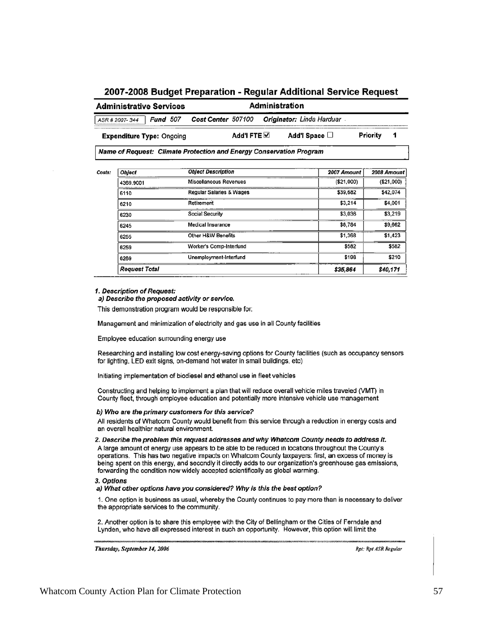#### 2007-2008 Budget Preparation - Regular Additional Service Request

| <b>Administrative Services</b>                                      | Administration     |                     |  |                                  |                    |  |
|---------------------------------------------------------------------|--------------------|---------------------|--|----------------------------------|--------------------|--|
| <b>Fund</b> 507<br>ASR # 2007-344                                   | Cost Center 507100 |                     |  | <b>Originator: Linda Harduar</b> |                    |  |
| <b>Expenditure Type: Ongoing</b>                                    |                    | Add'l FTE $\boxdot$ |  | Add'l Space $\square$            | Priority           |  |
| Name of Request: Climate Protection and Energy Conservation Program |                    |                     |  |                                  |                    |  |
| $A - 1 - 1 - 1 - 1 - 1$                                             | Ohlant Dacarintian |                     |  |                                  | $AA = A - - - - 1$ |  |

| Object               | <b>Object Description</b> | 2007 Amount | 2008 Amount |  |
|----------------------|---------------------------|-------------|-------------|--|
| 4369.9001            | Miscellaneous Revenues    | (\$21,000)  | (\$21,000)  |  |
| 6110                 | Regular Salaries & Wages  | \$39,682    | \$42,074    |  |
| 6210                 | Retirement                | \$3,214     | \$4,001     |  |
| 6230                 | Social Security           | \$3,036     | \$3,219     |  |
| 6245                 | Medical Insurance         | \$8,784     | \$9,662     |  |
| 6255                 | Other H&W Benefits        | \$1,368     | \$1,423     |  |
| 6259                 | Worker's Comp-Interfund   | \$582       | \$582       |  |
| 6269                 | Unemployment-Interfund    | \$198       | \$210       |  |
| <b>Request Total</b> |                           | \$35,864    | \$40,171    |  |

#### 1. Description of Request:

a) Describe the proposed activity or service.

This demonstration program would be responsible for:

Management and minimization of electricity and gas use in all County facilities

Employee education surrounding energy use

Researching and installing low cost energy-saving options for County facilities (such as occupancy sensors for lighting, LED exit signs, on-demand hot water in small buildings, etc)

Initiating implementation of biodiesel and ethanol use in fleet vehicles

Constructing and helping to implement a plan that will reduce overall vehicle miles traveled (VMT) in County fleet, through employee education and potentially more intensive vehicle use management

#### b) Who are the primary customers for this service?

All residents of Whatcom County would benefit from this service through a reduction in energy costs and an overall healthier natural environment.

2. Describe the problem this request addresses and why Whatcom County needs to address it.

A large amount of energy use appears to be able to be reduced in locations throughout the County's operations. This has two negative impacts on Whatcom County taxpayers: first, an excess of money is being spent on this energy, and secondly it directly adds to our organization's greenhouse gas emissions, forwarding the condition now widely accepted scientifically as global warming.

#### 3. Options

#### a) What other options have you considered? Why is this the best option?

1. One option is business as usual, whereby the County continues to pay more than is necessary to deliver the appropriate services to the community.

2. Another option is to share this employee with the City of Bellingham or the Cities of Ferndale and Lynden, who have all expressed interest in such an opportunity. However, this option will limit the

Thursday, September 14, 2006

Rpt: Rpt ASR Regular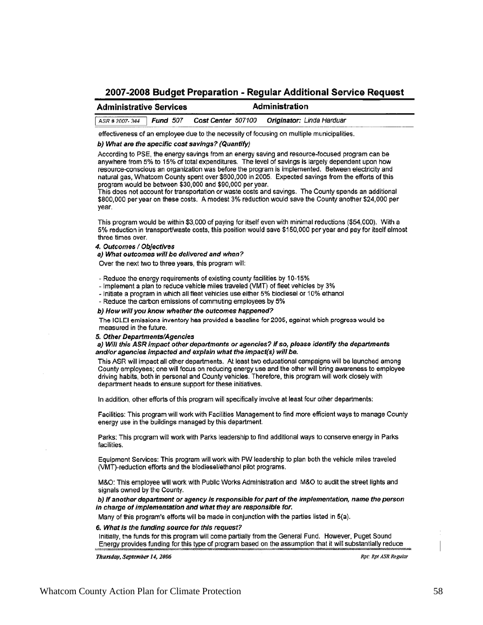#### 2007-2008 Budget Preparation - Regular Additional Service Reguest

#### **Administrative Services Administration**

**Fund 507** Cost Center 507100 Originator: Linda Harduar ASR # 2007-344

effectiveness of an employee due to the necessity of focusing on multiple municipalities.

#### b) What are the specific cost savings? (Quantify)

According to PSE, the energy savings from an energy saving and resource-focused program can be anywhere from 5% to 15% of total expenditures. The level of savings is largely dependent upon how resource-conscious an organization was before the program is implemented. Between electricity and natural gas, Whatcom County spent over \$600,000 in 2005. Expected savings from the efforts of this program would be between \$30,000 and \$90,000 per year.

This does not account for transportation or waste costs and savings. The County spends an additional \$800,000 per year on these costs. A modest 3% reduction would save the County another \$24,000 per vear.

This program would be within \$3,000 of paying for itself even with minimal reductions (\$54,000). With a 5% reduction in transport/waste costs, this position would save \$150,000 per year and pay for itself almost three times over.

4. Outcomes / Objectives

a) What outcomes will be delivered and when?

Over the next two to three years, this program will:

- Reduce the energy requirements of existing county facilities by 10-15%

- Implement a plan to reduce vehicle miles traveled (VMT) of fleet vehicles by 3%
- Initiate a program in which all fleet vehicles use either 5% biodiesel or 10% ethanol
- Reduce the carbon emissions of commuting employees by 5%

b) How will you know whether the outcomes happened?

The ICLEI emissions inventory has provided a baseline for 2005, against which progress would be measured in the future.

#### 5. Other Departments/Agencies

a) Will this ASR impact other departments or agencies? If so, please identify the departments and/or agencies impacted and explain what the impact(s) will be.

This ASR will impact all other departments. At least two educational campaigns will be launched among County employees; one will focus on reducing energy use and the other will bring awareness to employee driving habits, both in personal and County vehicles. Therefore, this program will work closely with department heads to ensure support for these initiatives.

In addition, other efforts of this program will specifically involve at least four other departments:

Facilities: This program will work with Facilities Management to find more efficient ways to manage County energy use in the buildings managed by this department.

Parks: This program will work with Parks leadership to find additional ways to conserve energy in Parks facilities.

Equipment Services: This program will work with PW leadership to plan both the vehicle miles traveled (VMT)-reduction efforts and the biodiesel/ethanol pilot programs.

M&O: This employee will work with Public Works Administration and M&O to audit the street lights and signals owned by the County.

b) If another department or agency is responsible for part of the implementation, name the person in charge of implementation and what they are responsible for.

Many of this program's efforts will be made in conjunction with the parties listed in 5(a).

#### 6. What is the funding source for this request?

Initially, the funds for this program will come partially from the General Fund. However, Puget Sound Energy provides funding for this type of program based on the assumption that it will substantially reduce

Thursday, September 14, 2006

Rpt: Rpt ASR Regular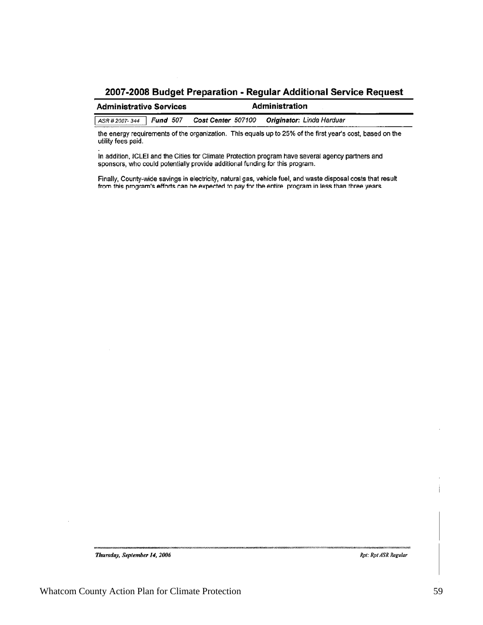#### 2007-2008 Budget Preparation - Regular Additional Service Request

| Administration<br><b>Administrative Services</b> |  |                                               |  |
|--------------------------------------------------|--|-----------------------------------------------|--|
| ASR # 2007-344 <b>Fund</b> 507                   |  | Cost Center 507100  Originator: Linda Harduar |  |

the energy requirements of the organization. This equals up to 25% of the first year's cost, based on the utility fees paid.

In addition, ICLEI and the Cities for Climate Protection program have several agency partners and sponsors, who could potentially provide additional funding for this program.

Finally, County-wide savings in electricity, natural gas, vehicle fuel, and waste disposal costs that result from this program's efforts can be expected to pay for the entire program in less than three years.

Thursday, September 14, 2006

Rpt: Rpt ASR Regular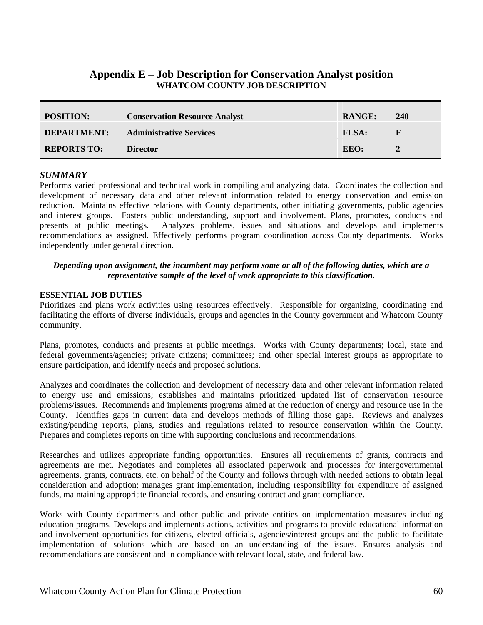### **Appendix E – Job Description for Conservation Analyst position WHATCOM COUNTY JOB DESCRIPTION**

| <b>POSITION:</b>   | <b>Conservation Resource Analyst</b> | <b>RANGE:</b> | 240 |
|--------------------|--------------------------------------|---------------|-----|
| <b>DEPARTMENT:</b> | <b>Administrative Services</b>       | <b>FLSA:</b>  | E   |
| <b>REPORTS TO:</b> | <b>Director</b>                      | EEO:          | 2   |

#### *SUMMARY*

Performs varied professional and technical work in compiling and analyzing data. Coordinates the collection and development of necessary data and other relevant information related to energy conservation and emission reduction. Maintains effective relations with County departments, other initiating governments, public agencies and interest groups. Fosters public understanding, support and involvement. Plans, promotes, conducts and presents at public meetings. Analyzes problems, issues and situations and develops and implements recommendations as assigned. Effectively performs program coordination across County departments. Works independently under general direction.

#### *Depending upon assignment, the incumbent may perform some or all of the following duties, which are a representative sample of the level of work appropriate to this classification.*

#### **ESSENTIAL JOB DUTIES**

Prioritizes and plans work activities using resources effectively. Responsible for organizing, coordinating and facilitating the efforts of diverse individuals, groups and agencies in the County government and Whatcom County community.

Plans, promotes, conducts and presents at public meetings. Works with County departments; local, state and federal governments/agencies; private citizens; committees; and other special interest groups as appropriate to ensure participation, and identify needs and proposed solutions.

Analyzes and coordinates the collection and development of necessary data and other relevant information related to energy use and emissions; establishes and maintains prioritized updated list of conservation resource problems/issues. Recommends and implements programs aimed at the reduction of energy and resource use in the County. Identifies gaps in current data and develops methods of filling those gaps. Reviews and analyzes existing/pending reports, plans, studies and regulations related to resource conservation within the County. Prepares and completes reports on time with supporting conclusions and recommendations.

Researches and utilizes appropriate funding opportunities. Ensures all requirements of grants, contracts and agreements are met. Negotiates and completes all associated paperwork and processes for intergovernmental agreements, grants, contracts, etc. on behalf of the County and follows through with needed actions to obtain legal consideration and adoption; manages grant implementation, including responsibility for expenditure of assigned funds, maintaining appropriate financial records, and ensuring contract and grant compliance.

Works with County departments and other public and private entities on implementation measures including education programs. Develops and implements actions, activities and programs to provide educational information and involvement opportunities for citizens, elected officials, agencies/interest groups and the public to facilitate implementation of solutions which are based on an understanding of the issues. Ensures analysis and recommendations are consistent and in compliance with relevant local, state, and federal law.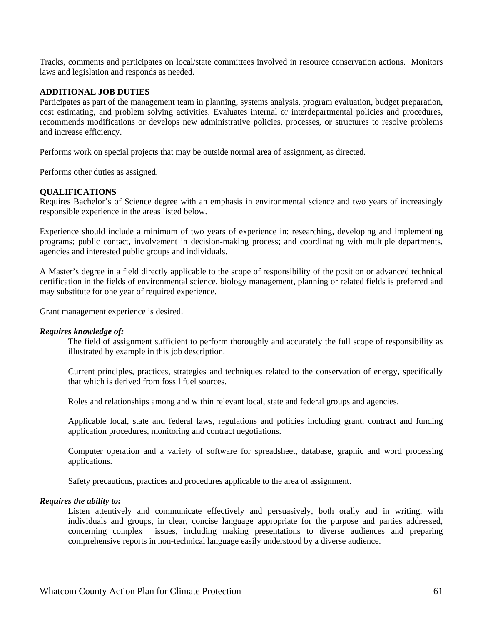Tracks, comments and participates on local/state committees involved in resource conservation actions. Monitors laws and legislation and responds as needed.

#### **ADDITIONAL JOB DUTIES**

Participates as part of the management team in planning, systems analysis, program evaluation, budget preparation, cost estimating, and problem solving activities. Evaluates internal or interdepartmental policies and procedures, recommends modifications or develops new administrative policies, processes, or structures to resolve problems and increase efficiency.

Performs work on special projects that may be outside normal area of assignment, as directed.

Performs other duties as assigned.

#### **QUALIFICATIONS**

Requires Bachelor's of Science degree with an emphasis in environmental science and two years of increasingly responsible experience in the areas listed below.

Experience should include a minimum of two years of experience in: researching, developing and implementing programs; public contact, involvement in decision-making process; and coordinating with multiple departments, agencies and interested public groups and individuals.

A Master's degree in a field directly applicable to the scope of responsibility of the position or advanced technical certification in the fields of environmental science, biology management, planning or related fields is preferred and may substitute for one year of required experience.

Grant management experience is desired.

#### *Requires knowledge of:*

The field of assignment sufficient to perform thoroughly and accurately the full scope of responsibility as illustrated by example in this job description.

Current principles, practices, strategies and techniques related to the conservation of energy, specifically that which is derived from fossil fuel sources.

Roles and relationships among and within relevant local, state and federal groups and agencies.

Applicable local, state and federal laws, regulations and policies including grant, contract and funding application procedures, monitoring and contract negotiations.

Computer operation and a variety of software for spreadsheet, database, graphic and word processing applications.

Safety precautions, practices and procedures applicable to the area of assignment.

#### *Requires the ability to:*

Listen attentively and communicate effectively and persuasively, both orally and in writing, with individuals and groups, in clear, concise language appropriate for the purpose and parties addressed, concerning complex issues, including making presentations to diverse audiences and preparing comprehensive reports in non-technical language easily understood by a diverse audience.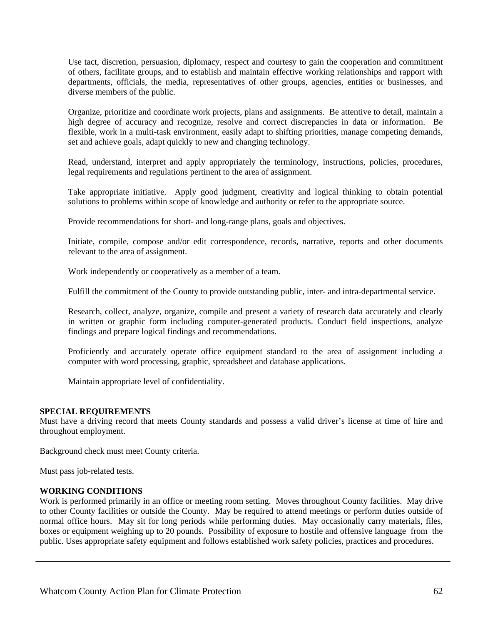Use tact, discretion, persuasion, diplomacy, respect and courtesy to gain the cooperation and commitment of others, facilitate groups, and to establish and maintain effective working relationships and rapport with departments, officials, the media, representatives of other groups, agencies, entities or businesses, and diverse members of the public.

Organize, prioritize and coordinate work projects, plans and assignments. Be attentive to detail, maintain a high degree of accuracy and recognize, resolve and correct discrepancies in data or information. Be flexible, work in a multi-task environment, easily adapt to shifting priorities, manage competing demands, set and achieve goals, adapt quickly to new and changing technology.

Read, understand, interpret and apply appropriately the terminology, instructions, policies, procedures, legal requirements and regulations pertinent to the area of assignment.

Take appropriate initiative. Apply good judgment, creativity and logical thinking to obtain potential solutions to problems within scope of knowledge and authority or refer to the appropriate source.

Provide recommendations for short- and long-range plans, goals and objectives.

Initiate, compile, compose and/or edit correspondence, records, narrative, reports and other documents relevant to the area of assignment.

Work independently or cooperatively as a member of a team.

Fulfill the commitment of the County to provide outstanding public, inter- and intra-departmental service.

Research, collect, analyze, organize, compile and present a variety of research data accurately and clearly in written or graphic form including computer-generated products. Conduct field inspections, analyze findings and prepare logical findings and recommendations.

Proficiently and accurately operate office equipment standard to the area of assignment including a computer with word processing, graphic, spreadsheet and database applications.

Maintain appropriate level of confidentiality.

#### **SPECIAL REQUIREMENTS**

Must have a driving record that meets County standards and possess a valid driver's license at time of hire and throughout employment.

Background check must meet County criteria.

Must pass job-related tests.

#### **WORKING CONDITIONS**

Work is performed primarily in an office or meeting room setting. Moves throughout County facilities. May drive to other County facilities or outside the County. May be required to attend meetings or perform duties outside of normal office hours. May sit for long periods while performing duties. May occasionally carry materials, files, boxes or equipment weighing up to 20 pounds. Possibility of exposure to hostile and offensive language from the public. Uses appropriate safety equipment and follows established work safety policies, practices and procedures.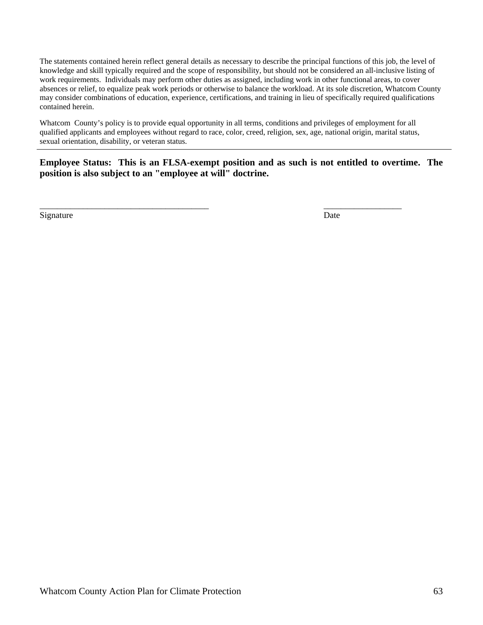The statements contained herein reflect general details as necessary to describe the principal functions of this job, the level of knowledge and skill typically required and the scope of responsibility, but should not be considered an all-inclusive listing of work requirements. Individuals may perform other duties as assigned, including work in other functional areas, to cover absences or relief, to equalize peak work periods or otherwise to balance the workload. At its sole discretion, Whatcom County may consider combinations of education, experience, certifications, and training in lieu of specifically required qualifications contained herein.

Whatcom County's policy is to provide equal opportunity in all terms, conditions and privileges of employment for all qualified applicants and employees without regard to race, color, creed, religion, sex, age, national origin, marital status, sexual orientation, disability, or veteran status.

\_\_\_\_\_\_\_\_\_\_\_\_\_\_\_\_\_\_\_\_\_\_\_\_\_\_\_\_\_\_\_\_\_\_\_\_\_\_\_ \_\_\_\_\_\_\_\_\_\_\_\_\_\_\_\_\_\_

**Employee Status: This is an FLSA-exempt position and as such is not entitled to overtime. The position is also subject to an "employee at will" doctrine.** 

Signature Date by Date Date Date of the United States of the United States of the United States of the United States of the United States of the United States of the United States of the United States of the United States